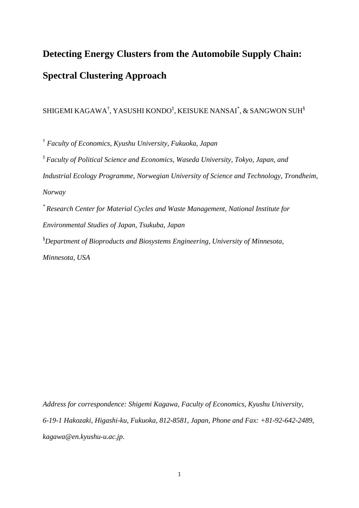# **Detecting Energy Clusters from the Automobile Supply Chain: Spectral Clustering Approach**

#### SHIGEMI KAGAWA $^\dagger$ , YASUSHI KONDO $^\ddagger$ , KEISUKE NANSAI $^*$ , & SANGWON SUH $^\$,$

†  *Faculty of Economics, Kyushu University, Fukuoka, Japan*  ‡ *Faculty of Political Science and Economics, Waseda University, Tokyo, Japan, and Industrial Ecology Programme, Norwegian University of Science and Technology, Trondheim, Norway \* Research Center for Material Cycles and Waste Management, National Institute for Environmental Studies of Japan, Tsukuba, Japan* § *Department of Bioproducts and Biosystems Engineering, University of Minnesota, Minnesota, USA* 

*Address for correspondence: Shigemi Kagawa, Faculty of Economics, Kyushu University, 6-19-1 Hakozaki, Higashi-ku, Fukuoka, 812-8581, Japan, Phone and Fax: +81-92-642-2489, kagawa@en.kyushu-u.ac.jp*.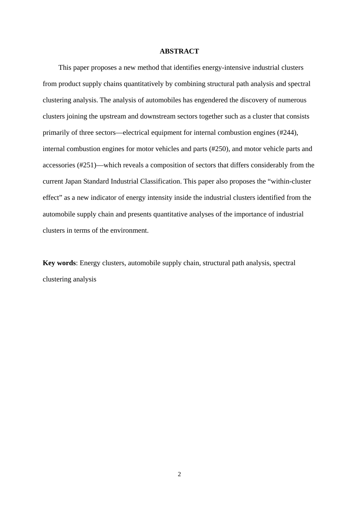#### **ABSTRACT**

This paper proposes a new method that identifies energy-intensive industrial clusters from product supply chains quantitatively by combining structural path analysis and spectral clustering analysis. The analysis of automobiles has engendered the discovery of numerous clusters joining the upstream and downstream sectors together such as a cluster that consists primarily of three sectors––electrical equipment for internal combustion engines (#244), internal combustion engines for motor vehicles and parts (#250), and motor vehicle parts and accessories (#251)––which reveals a composition of sectors that differs considerably from the current Japan Standard Industrial Classification. This paper also proposes the "within-cluster effect" as a new indicator of energy intensity inside the industrial clusters identified from the automobile supply chain and presents quantitative analyses of the importance of industrial clusters in terms of the environment.

**Key words**: Energy clusters, automobile supply chain, structural path analysis, spectral clustering analysis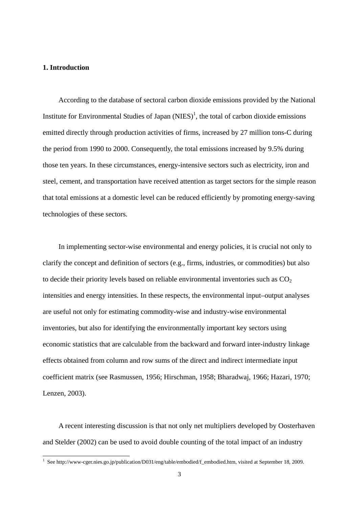#### **1. Introduction**

According to the database of sectoral carbon dioxide emissions provided by the National Institute for Environmental Studies of Japan  $(NIES)^1$ , the total of carbon dioxide emissions emitted directly through production activities of firms, increased by 27 million tons-C during the period from 1990 to 2000. Consequently, the total emissions increased by 9.5% during those ten years. In these circumstances, energy-intensive sectors such as electricity, iron and steel, cement, and transportation have received attention as target sectors for the simple reason that total emissions at a domestic level can be reduced efficiently by promoting energy-saving technologies of these sectors.

In implementing sector-wise environmental and energy policies, it is crucial not only to clarify the concept and definition of sectors (e.g., firms, industries, or commodities) but also to decide their priority levels based on reliable environmental inventories such as  $CO<sub>2</sub>$ intensities and energy intensities. In these respects, the environmental input–output analyses are useful not only for estimating commodity-wise and industry-wise environmental inventories, but also for identifying the environmentally important key sectors using economic statistics that are calculable from the backward and forward inter-industry linkage effects obtained from column and row sums of the direct and indirect intermediate input coefficient matrix (see Rasmussen, 1956; Hirschman, 1958; Bharadwaj, 1966; Hazari, 1970; Lenzen, 2003).

A recent interesting discussion is that not only net multipliers developed by Oosterhaven and Stelder (2002) can be used to avoid double counting of the total impact of an industry

 1 See http://www-cger.nies.go.jp/publication/D031/eng/table/embodied/f\_embodied.htm, visited at September 18, 2009.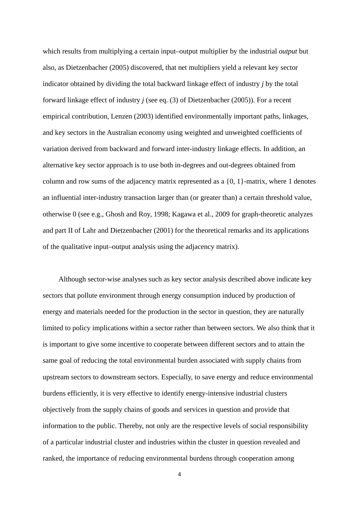which results from multiplying a certain input–output multiplier by the industrial *output* but also, as Dietzenbacher (2005) discovered, that net multipliers yield a relevant key sector indicator obtained by dividing the total backward linkage effect of industry *j* by the total forward linkage effect of industry *j* (see eq. (3) of Dietzenbacher (2005)). For a recent empirical contribution, Lenzen (2003) identified environmentally important paths, linkages, and key sectors in the Australian economy using weighted and unweighted coefficients of variation derived from backward and forward inter-industry linkage effects. In addition, an alternative key sector approach is to use both in-degrees and out-degrees obtained from column and row sums of the adjacency matrix represented as a {0, 1}-matrix, where 1 denotes an influential inter-industry transaction larger than (or greater than) a certain threshold value, otherwise 0 (see e.g., Ghosh and Roy, 1998; Kagawa et al., 2009 for graph-theoretic analyzes and part II of Lahr and Dietzenbacher (2001) for the theoretical remarks and its applications of the qualitative input–output analysis using the adjacency matrix).

Although sector-wise analyses such as key sector analysis described above indicate key sectors that pollute environment through energy consumption induced by production of energy and materials needed for the production in the sector in question, they are naturally limited to policy implications within a sector rather than between sectors. We also think that it is important to give some incentive to cooperate between different sectors and to attain the same goal of reducing the total environmental burden associated with supply chains from upstream sectors to downstream sectors. Especially, to save energy and reduce environmental burdens efficiently, it is very effective to identify energy-intensive industrial clusters objectively from the supply chains of goods and services in question and provide that information to the public. Thereby, not only are the respective levels of social responsibility of a particular industrial cluster and industries within the cluster in question revealed and ranked, the importance of reducing environmental burdens through cooperation among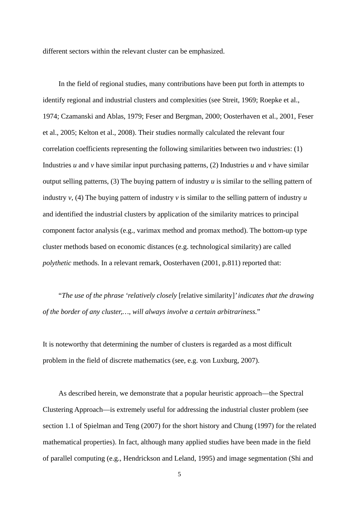different sectors within the relevant cluster can be emphasized.

In the field of regional studies, many contributions have been put forth in attempts to identify regional and industrial clusters and complexities (see Streit, 1969; Roepke et al., 1974; Czamanski and Ablas, 1979; Feser and Bergman, 2000; Oosterhaven et al., 2001, Feser et al., 2005; Kelton et al., 2008). Their studies normally calculated the relevant four correlation coefficients representing the following similarities between two industries: (1) Industries *u* and *v* have similar input purchasing patterns, (2) Industries *u* and *v* have similar output selling patterns, (3) The buying pattern of industry *u* is similar to the selling pattern of industry *v*, (4) The buying pattern of industry *v* is similar to the selling pattern of industry *u* and identified the industrial clusters by application of the similarity matrices to principal component factor analysis (e.g., varimax method and promax method). The bottom-up type cluster methods based on economic distances (e.g. technological similarity) are called *polythetic* methods. In a relevant remark, Oosterhaven (2001, p.811) reported that:

"*The use of the phrase 'relatively closely* [relative similarity]*' indicates that the drawing of the border of any cluster,…, will always involve a certain arbitrariness.*"

It is noteworthy that determining the number of clusters is regarded as a most difficult problem in the field of discrete mathematics (see, e.g. von Luxburg, 2007).

As described herein, we demonstrate that a popular heuristic approach––the Spectral Clustering Approach––is extremely useful for addressing the industrial cluster problem (see section 1.1 of Spielman and Teng (2007) for the short history and Chung (1997) for the related mathematical properties). In fact, although many applied studies have been made in the field of parallel computing (e.g., Hendrickson and Leland, 1995) and image segmentation (Shi and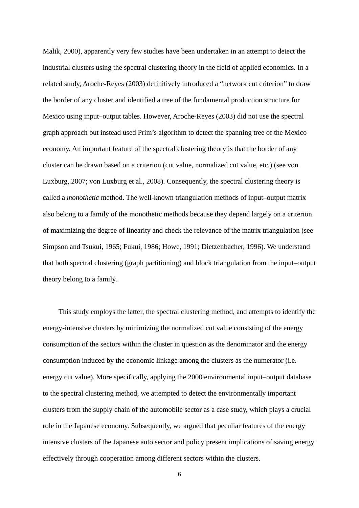Malik, 2000), apparently very few studies have been undertaken in an attempt to detect the industrial clusters using the spectral clustering theory in the field of applied economics. In a related study, Aroche-Reyes (2003) definitively introduced a "network cut criterion" to draw the border of any cluster and identified a tree of the fundamental production structure for Mexico using input–output tables. However, Aroche-Reyes (2003) did not use the spectral graph approach but instead used Prim's algorithm to detect the spanning tree of the Mexico economy. An important feature of the spectral clustering theory is that the border of any cluster can be drawn based on a criterion (cut value, normalized cut value, etc.) (see von Luxburg, 2007; von Luxburg et al., 2008). Consequently, the spectral clustering theory is called a *monothetic* method. The well-known triangulation methods of input–output matrix also belong to a family of the monothetic methods because they depend largely on a criterion of maximizing the degree of linearity and check the relevance of the matrix triangulation (see Simpson and Tsukui, 1965; Fukui, 1986; Howe, 1991; Dietzenbacher, 1996). We understand that both spectral clustering (graph partitioning) and block triangulation from the input–output theory belong to a family.

This study employs the latter, the spectral clustering method, and attempts to identify the energy-intensive clusters by minimizing the normalized cut value consisting of the energy consumption of the sectors within the cluster in question as the denominator and the energy consumption induced by the economic linkage among the clusters as the numerator (i.e. energy cut value). More specifically, applying the 2000 environmental input–output database to the spectral clustering method, we attempted to detect the environmentally important clusters from the supply chain of the automobile sector as a case study, which plays a crucial role in the Japanese economy. Subsequently, we argued that peculiar features of the energy intensive clusters of the Japanese auto sector and policy present implications of saving energy effectively through cooperation among different sectors within the clusters.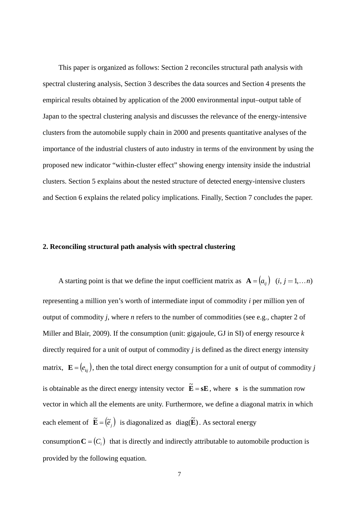This paper is organized as follows: Section 2 reconciles structural path analysis with spectral clustering analysis, Section 3 describes the data sources and Section 4 presents the empirical results obtained by application of the 2000 environmental input–output table of Japan to the spectral clustering analysis and discusses the relevance of the energy-intensive clusters from the automobile supply chain in 2000 and presents quantitative analyses of the importance of the industrial clusters of auto industry in terms of the environment by using the proposed new indicator "within-cluster effect" showing energy intensity inside the industrial clusters. Section 5 explains about the nested structure of detected energy-intensive clusters and Section 6 explains the related policy implications. Finally, Section 7 concludes the paper.

#### **2. Reconciling structural path analysis with spectral clustering**

A starting point is that we define the input coefficient matrix as  $\mathbf{A} = (a_{ij})$   $(i, j = 1, \dots n)$ representing a million yen's worth of intermediate input of commodity *i* per million yen of output of commodity *j*, where *n* refers to the number of commodities (see e.g., chapter 2 of Miller and Blair, 2009). If the consumption (unit: gigajoule, GJ in SI) of energy resource *k* directly required for a unit of output of commodity *j* is defined as the direct energy intensity matrix,  $\mathbf{E} = (e_{ki})$ , then the total direct energy consumption for a unit of output of commodity *j* is obtainable as the direct energy intensity vector  $\tilde{E} = sE$ , where *s* is the summation row vector in which all the elements are unity. Furthermore, we define a diagonal matrix in which each element of  $\tilde{\mathbf{E}} = (\tilde{\mathbf{e}}_i)$  is diagonalized as  $\text{diag}(\tilde{\mathbf{E}})$ . As sectoral energy consumption  $C = (C_i)$  that is directly and indirectly attributable to automobile production is provided by the following equation.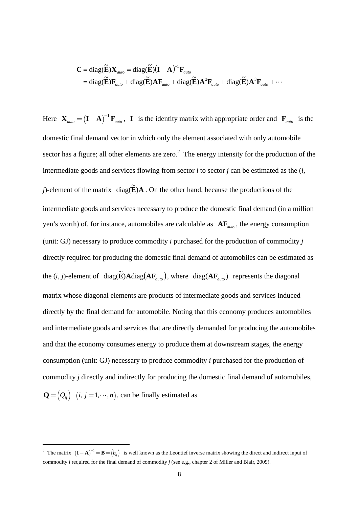$$
\mathbf{C} = \text{diag}(\widetilde{\mathbf{E}}) \mathbf{X}_{auto} = \text{diag}(\widetilde{\mathbf{E}}) (\mathbf{I} - \mathbf{A})^{-1} \mathbf{F}_{auto} \n= \text{diag}(\widetilde{\mathbf{E}}) \mathbf{F}_{auto} + \text{diag}(\widetilde{\mathbf{E}}) \mathbf{A} \mathbf{F}_{auto} + \text{diag}(\widetilde{\mathbf{E}}) \mathbf{A}^{2} \mathbf{F}_{auto} + \text{diag}(\widetilde{\mathbf{E}}) \mathbf{A}^{3} \mathbf{F}_{auto} + \cdots
$$

Here  $\mathbf{X}_{\text{auto}} = (\mathbf{I} - \mathbf{A})^{-1} \mathbf{F}_{\text{auto}}$  $\mathbf{X}_{\text{auto}} = (\mathbf{I} - \mathbf{A})^{-1} \mathbf{F}_{\text{auto}}$ , **I** is the identity matrix with appropriate order and  $\mathbf{F}_{\text{auto}}$  is the domestic final demand vector in which only the element associated with only automobile sector has a figure; all other elements are zero.<sup>2</sup> The energy intensity for the production of the intermediate goods and services flowing from sector *i* to sector *j* can be estimated as the (*i*, *j*)-element of the matrix  $diag(\tilde{E})\mathbf{A}$ . On the other hand, because the productions of the intermediate goods and services necessary to produce the domestic final demand (in a million yen's worth) of, for instance, automobiles are calculable as **AF***auto* , the energy consumption (unit: GJ) necessary to produce commodity *i* purchased for the production of commodity *j* directly required for producing the domestic final demand of automobiles can be estimated as the  $(i, j)$ -element of  $diag(\tilde{\mathbf{E}})\mathbf{A}diag(\mathbf{A}\mathbf{F}_{auto})$ , where  $diag(\mathbf{A}\mathbf{F}_{auto})$  represents the diagonal matrix whose diagonal elements are products of intermediate goods and services induced directly by the final demand for automobile. Noting that this economy produces automobiles and intermediate goods and services that are directly demanded for producing the automobiles and that the economy consumes energy to produce them at downstream stages, the energy consumption (unit: GJ) necessary to produce commodity *i* purchased for the production of commodity *j* directly and indirectly for producing the domestic final demand of automobiles,  $\mathbf{Q} = ( Q_{ij} )$   $(i, j = 1, \dots, n )$ , can be finally estimated as

-

<sup>&</sup>lt;sup>2</sup> The matrix  $(I - A)^{-1} = B = (b_{ij})$  is well known as the Leontief inverse matrix showing the direct and indirect input of commodity *i* required for the final demand of commodity *j* (see e.g., chapter 2 of Miller and Blair, 2009).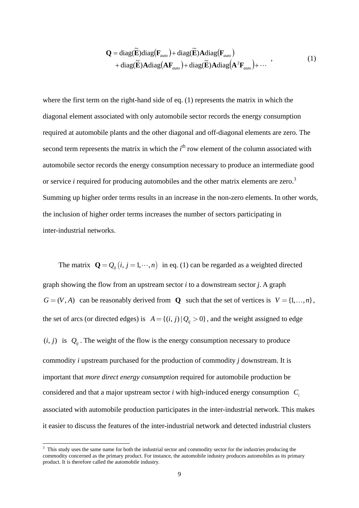$$
\mathbf{Q} = \text{diag}(\widetilde{\mathbf{E}}) \text{diag}(\mathbf{F}_{auto}) + \text{diag}(\widetilde{\mathbf{E}}) \mathbf{A} \text{diag}(\mathbf{F}_{auto})
$$
  
+ 
$$
\text{diag}(\widetilde{\mathbf{E}}) \mathbf{A} \text{diag}(\mathbf{A} \mathbf{F}_{auto}) + \text{diag}(\widetilde{\mathbf{E}}) \mathbf{A} \text{diag}(\mathbf{A}^{2} \mathbf{F}_{auto}) + \cdots
$$
 (1)

where the first term on the right-hand side of eq. (1) represents the matrix in which the diagonal element associated with only automobile sector records the energy consumption required at automobile plants and the other diagonal and off-diagonal elements are zero. The second term represents the matrix in which the  $i<sup>th</sup>$  row element of the column associated with automobile sector records the energy consumption necessary to produce an intermediate good or service *i* required for producing automobiles and the other matrix elements are zero.<sup>3</sup> Summing up higher order terms results in an increase in the non-zero elements. In other words, the inclusion of higher order terms increases the number of sectors participating in inter-industrial networks.

The matrix  $\mathbf{Q} = Q_{ij}$   $(i, j = 1, \dots, n)$  in eq. (1) can be regarded as a weighted directed graph showing the flow from an upstream sector *i* to a downstream sector *j*. A graph  $G = (V, A)$  can be reasonably derived from **Q** such that the set of vertices is  $V = \{1, ..., n\}$ , the set of arcs (or directed edges) is  $A = \{(i, j) | Q_{ij} > 0\}$ , and the weight assigned to edge  $(i, j)$  is  $Q_{ij}$ . The weight of the flow is the energy consumption necessary to produce commodity *i* upstream purchased for the production of commodity *j* downstream. It is important that *more direct energy consumption* required for automobile production be considered and that a major upstream sector  $i$  with high-induced energy consumption  $C_i$ associated with automobile production participates in the inter-industrial network. This makes it easier to discuss the features of the inter-industrial network and detected industrial clusters

<sup>&</sup>lt;sup>3</sup> This study uses the same name for both the industrial sector and commodity sector for the industries producing the commodity concerned as the primary product. For instance, the automobile industry produces automobiles as its primary product. It is therefore called the automobile industry.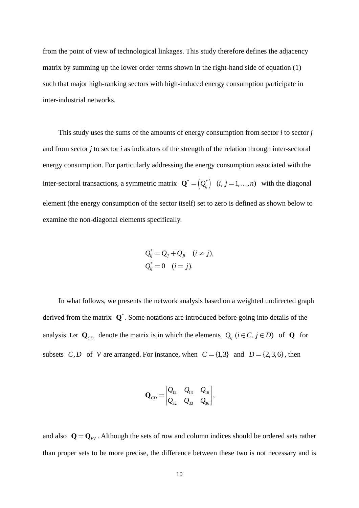from the point of view of technological linkages. This study therefore defines the adjacency matrix by summing up the lower order terms shown in the right-hand side of equation (1) such that major high-ranking sectors with high-induced energy consumption participate in inter-industrial networks.

This study uses the sums of the amounts of energy consumption from sector *i* to sector *j* and from sector *j* to sector *i* as indicators of the strength of the relation through inter-sectoral energy consumption. For particularly addressing the energy consumption associated with the inter-sectoral transactions, a symmetric matrix  $\mathbf{Q}^* = (Q_i^*)$   $(i, j = 1, ..., n)$  with the diagonal element (the energy consumption of the sector itself) set to zero is defined as shown below to examine the non-diagonal elements specifically.

$$
Q_{ij}^* = Q_{ij} + Q_{ji} \quad (i \neq j),
$$
  

$$
Q_{ij}^* = 0 \quad (i = j).
$$

In what follows, we presents the network analysis based on a weighted undirected graph derived from the matrix  $\mathbf{Q}^*$ . Some notations are introduced before going into details of the analysis. Let  $\mathbf{Q}_{CD}$  denote the matrix is in which the elements  $Q_{ij}$  ( $i \in C, j \in D$ ) of **Q** for subsets *C*, *D* of *V* are arranged. For instance, when  $C = \{1,3\}$  and  $D = \{2,3,6\}$ , then

$$
\mathbf{Q}_{CD} = \begin{bmatrix} Q_{12} & Q_{13} & Q_{16} \\ Q_{32} & Q_{33} & Q_{36} \end{bmatrix},
$$

and also  $\mathbf{Q} = \mathbf{Q}_{VV}$ . Although the sets of row and column indices should be ordered sets rather than proper sets to be more precise, the difference between these two is not necessary and is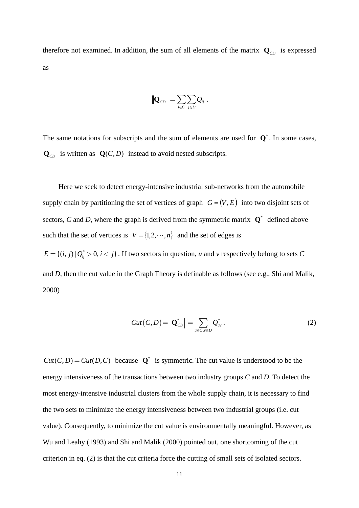therefore not examined. In addition, the sum of all elements of the matrix  $\mathbf{Q}_{CD}$  is expressed as

$$
\|\mathbf{Q}_{CD}\| = \sum_{i \in C} \sum_{j \in D} Q_{ij}.
$$

The same notations for subscripts and the sum of elements are used for  $\mathbf{Q}^*$ . In some cases,  $\mathbf{Q}_{CD}$  is written as  $\mathbf{Q}(C, D)$  instead to avoid nested subscripts.

Here we seek to detect energy-intensive industrial sub-networks from the automobile supply chain by partitioning the set of vertices of graph  $G = (V, E)$  into two disjoint sets of sectors, *C* and *D*, where the graph is derived from the symmetric matrix  $\mathbf{Q}^*$  defined above such that the set of vertices is  $V = \{1, 2, \dots, n\}$  and the set of edges is

 $E = \{(i, j) | Q_{ij}^* > 0, i < j\}$ . If two sectors in question, *u* and *v* respectively belong to sets *C* and *D*, then the cut value in the Graph Theory is definable as follows (see e.g., Shi and Malik, 2000)

$$
Cut(C, D) = \left\| \mathbf{Q}_{CD}^* \right\| = \sum_{u \in C, v \in D} Q_{uv}^* . \tag{2}
$$

 $Cut(C, D) = Cut(D, C)$  because  $Q^*$  is symmetric. The cut value is understood to be the energy intensiveness of the transactions between two industry groups *C* and *D*. To detect the most energy-intensive industrial clusters from the whole supply chain, it is necessary to find the two sets to minimize the energy intensiveness between two industrial groups (i.e. cut value). Consequently, to minimize the cut value is environmentally meaningful. However, as Wu and Leahy (1993) and Shi and Malik (2000) pointed out, one shortcoming of the cut criterion in eq. (2) is that the cut criteria force the cutting of small sets of isolated sectors.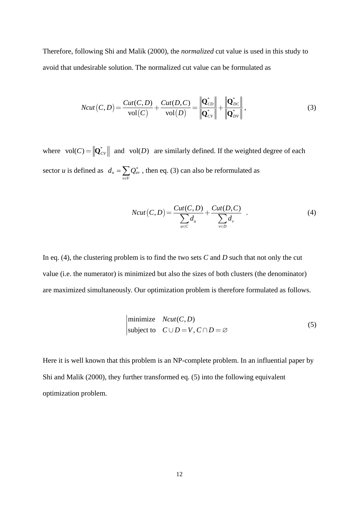Therefore, following Shi and Malik (2000), the *normalized* cut value is used in this study to avoid that undesirable solution. The normalized cut value can be formulated as

$$
Ncut(C,D) = \frac{Cut(C,D)}{vol(C)} + \frac{Cut(D,C)}{vol(D)} = \frac{\left\| \mathbf{Q}_{CD}^* \right\|}{\left\| \mathbf{Q}_{CV}^* \right\|} + \frac{\left\| \mathbf{Q}_{DC}^* \right\|}{\left\| \mathbf{Q}_{DV}^* \right\|},\tag{3}
$$

where  $vol(C) = ||\mathbf{Q}_{CV}^*||$  and  $vol(D)$  are similarly defined. If the weighted degree of each sector *u* is defined as  $d_u = \sum_{v \in V}$  $v \in V$  $d_u = \sum Q_{uv}^*$ , then eq. (3) can also be reformulated as

$$
Ncut(C, D) = \frac{Cut(C, D)}{\sum_{u \in C} d_u} + \frac{Cut(D, C)}{\sum_{v \in D} d_v} .
$$
 (4)

In eq. (4), the clustering problem is to find the two sets *C* and *D* such that not only the cut value (i.e. the numerator) is minimized but also the sizes of both clusters (the denominator) are maximized simultaneously. Our optimization problem is therefore formulated as follows.

minimize 
$$
Ncut(C, D)
$$
  
subject to  $C \cup D = V, C \cap D = \emptyset$  (5)

Here it is well known that this problem is an NP-complete problem. In an influential paper by Shi and Malik (2000), they further transformed eq. (5) into the following equivalent optimization problem.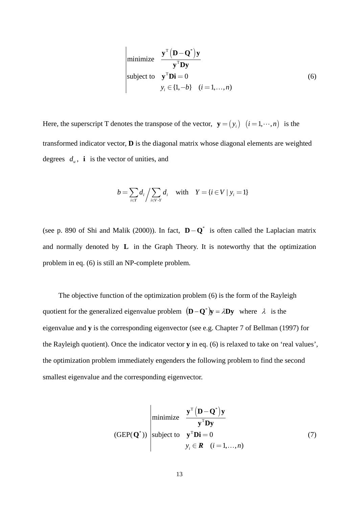$$
\begin{array}{ll}\n\text{minimize} & \frac{\mathbf{y}^{\mathrm{T}} (\mathbf{D} - \mathbf{Q}^*) \mathbf{y}}{\mathbf{y}^{\mathrm{T}} \mathbf{D} \mathbf{y}}\\ \n\text{subject to} & \mathbf{y}^{\mathrm{T}} \mathbf{Di} = 0\\ \ny_i \in \{1, -b\} \quad (i = 1, \dots, n)\n\end{array} \tag{6}
$$

Here, the superscript T denotes the transpose of the vector,  $\mathbf{y} = (y_i)$   $(i = 1, \dots, n)$  is the transformed indicator vector, **D** is the diagonal matrix whose diagonal elements are weighted degrees  $d_u$ , **i** is the vector of unities, and

$$
b = \sum_{i \in Y} d_i / \sum_{i \in V \cdot Y} d_i \quad \text{with} \quad Y = \{i \in V \mid y_i = 1\}
$$

(see p. 890 of Shi and Malik (2000)). In fact, \* **D Q**− is often called the Laplacian matrix and normally denoted by **L** in the Graph Theory. It is noteworthy that the optimization problem in eq. (6) is still an NP-complete problem.

The objective function of the optimization problem (6) is the form of the Rayleigh quotient for the generalized eigenvalue problem  $(D - Q^*)y = \lambda Dy$  where  $\lambda$  is the eigenvalue and **y** is the corresponding eigenvector (see e.g. Chapter 7 of Bellman (1997) for the Rayleigh quotient). Once the indicator vector **y** in eq. (6) is relaxed to take on 'real values', the optimization problem immediately engenders the following problem to find the second smallest eigenvalue and the corresponding eigenvector.

$$
(GEP(\mathbf{Q}^*))
$$
   
 (where  $\mathbf{Q}^*$ )  
 (GEP(\mathbf{Q}^\*)) (1)  
 (3)  
 (4)  
 (4)  
 (5)  
 (5)  
 (6)  
 (7)  
 (1)  
 (1)  
 (1)  
 (1)  
 (2)  
 (2)  
 (3)  
 (3)  
 (4)  
 (5)  
 (5)  
 (5)  
 (6)  
 (6)  
 (7)  
 (8)  
 (9)  
 (1)  
 (1)  
 (1)  
 (1)  
 (2)  
 (2)  
 (3)  
 (3)  
 (4)  
 (4)  
 (5)  
 (5)  
 (6)  
 (6)  
 (6)  
 (7)  
 (8)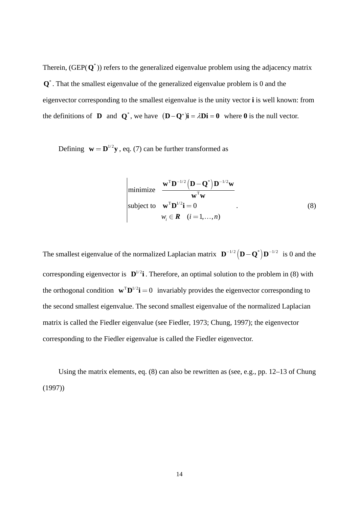Therein,  $(GEP(Q^*))$  refers to the generalized eigenvalue problem using the adjacency matrix **Q**<sup>\*</sup>. That the smallest eigenvalue of the generalized eigenvalue problem is 0 and the eigenvector corresponding to the smallest eigenvalue is the unity vector **i** is well known: from the definitions of **D** and  $Q^*$ , we have  $(D - Q^*)\mathbf{i} = \lambda \mathbf{Di} = 0$  where 0 is the null vector.

Defining  $\mathbf{w} = \mathbf{D}^{1/2} \mathbf{v}$ , eq. (7) can be further transformed as

$$
\begin{array}{ll}\n\text{minimize} & \frac{\mathbf{w}^{\mathrm{T}} \mathbf{D}^{-1/2} \left( \mathbf{D} - \mathbf{Q}^* \right) \mathbf{D}^{-1/2} \mathbf{w}}{\mathbf{w}^{\mathrm{T}} \mathbf{w}} \\
\text{subject to} & \mathbf{w}^{\mathrm{T}} \mathbf{D}^{1/2} \mathbf{i} = 0 \\
& w_i \in \mathbf{R} \quad (i = 1, \dots, n)\n\end{array} \tag{8}
$$

The smallest eigenvalue of the normalized Laplacian matrix  $\mathbf{D}^{-1/2} (\mathbf{D} - \mathbf{Q}^*) \mathbf{D}^{-1/2}$  is 0 and the corresponding eigenvector is  $\mathbf{D}^{1/2}$ **i**. Therefore, an optimal solution to the problem in (8) with the orthogonal condition  $\mathbf{w}^T \mathbf{D}^{1/2} \mathbf{i} = 0$  invariably provides the eigenvector corresponding to the second smallest eigenvalue. The second smallest eigenvalue of the normalized Laplacian matrix is called the Fiedler eigenvalue (see Fiedler, 1973; Chung, 1997); the eigenvector corresponding to the Fiedler eigenvalue is called the Fiedler eigenvector.

Using the matrix elements, eq. (8) can also be rewritten as (see, e.g., pp. 12–13 of Chung (1997))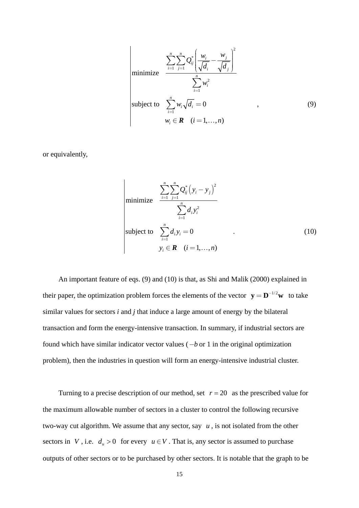$$
\begin{aligned}\n\text{minimize} & \frac{\sum_{i=1}^{n} \sum_{j=1}^{n} Q_{ij}^{*} \left( \frac{w_{i}}{\sqrt{d_{i}}} - \frac{w_{j}}{\sqrt{d_{j}}} \right)^{2}}{\sum_{i=1}^{n} w_{i}^{2}} \\
\text{subject to} & \sum_{i=1}^{n} w_{i} \sqrt{d_{i}} = 0 \qquad , \\
w_{i} \in \mathbf{R} \quad (i = 1, ..., n)\n\end{aligned}
$$
\n(9)

or equivalently,

minimize 
$$
\frac{\sum_{i=1}^{n} \sum_{j=1}^{n} Q_{ij}^{*} (y_i - y_j)^2}{\sum_{i=1}^{n} d_i y_i^2}
$$
  
subject to 
$$
\sum_{i=1}^{n} d_i y_i = 0
$$

$$
y_i \in \mathbf{R} \quad (i = 1,...,n)
$$
 (10)

An important feature of eqs. (9) and (10) is that, as Shi and Malik (2000) explained in their paper, the optimization problem forces the elements of the vector  $y = D^{-1/2}w$  to take similar values for sectors *i* and *j* that induce a large amount of energy by the bilateral transaction and form the energy-intensive transaction. In summary, if industrial sectors are found which have similar indicator vector values (−*b* or 1 in the original optimization problem), then the industries in question will form an energy-intensive industrial cluster.

Turning to a precise description of our method, set  $r = 20$  as the prescribed value for the maximum allowable number of sectors in a cluster to control the following recursive two-way cut algorithm. We assume that any sector, say  $u$ , is not isolated from the other sectors in *V*, i.e.  $d_u > 0$  for every  $u \in V$ . That is, any sector is assumed to purchase outputs of other sectors or to be purchased by other sectors. It is notable that the graph to be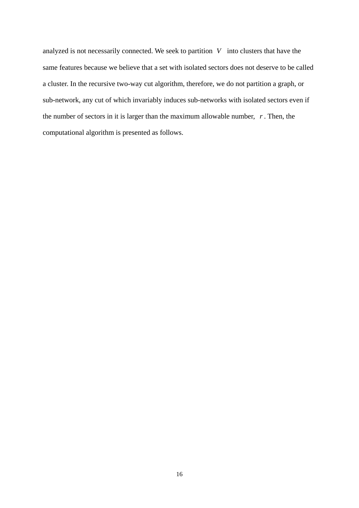analyzed is not necessarily connected. We seek to partition *V* into clusters that have the same features because we believe that a set with isolated sectors does not deserve to be called a cluster. In the recursive two-way cut algorithm, therefore, we do not partition a graph, or sub-network, any cut of which invariably induces sub-networks with isolated sectors even if the number of sectors in it is larger than the maximum allowable number, *r* . Then, the computational algorithm is presented as follows.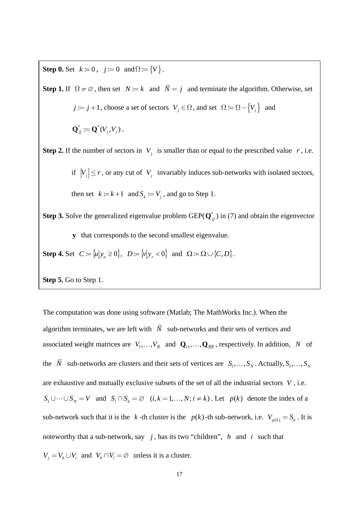**Step 0.** Set  $k := 0$ ,  $j := 0$  and  $\Omega := \{V\}$ .

**Step 1.** If  $\Omega \neq \emptyset$ , then set  $N := k$  and  $\overline{N} = i$  and terminate the algorithm. Otherwise, set  $j := j + 1$ , choose a set of sectors  $V_j \in \Omega$ , and set  $\Omega := \Omega - \{V_j\}$  and  ${\bf Q}^*_i := {\bf Q}^*(V_i,V_i)$ . **Step 2.** If the number of sectors in  $V_i$  is smaller than or equal to the prescribed value  $r$ , i.e. if  $|V_i| \le r$ , or any cut of  $V_j$  invariably induces sub-networks with isolated sectors, then set  $k := k + 1$  and  $S_k := V_i$ , and go to Step 1. **Step 3.** Solve the generalized eigenvalue problem GEP( $Q^*$ *j)* in (7) and obtain the eigenvector **y** that corresponds to the second smallest eigenvalue. **Step 4.** Set  $C := \{u | y_u \ge 0\}$ ,  $D := \{v | y_v < 0\}$  and  $\Omega := \Omega \cup \{C, D\}$ .

**Step 5.** Go to Step 1.

The computation was done using software (Matlab; The MathWorks Inc.). When the algorithm terminates, we are left with  $\overline{N}$  sub-networks and their sets of vertices and associated weight matrices are  $V_1, \ldots, V_{\bar{N}}$  and  $Q_{11}, \ldots, Q_{\bar{N}\bar{N}}$ , respectively. In addition, *N* of the  $\bar{N}$  sub-networks are clusters and their sets of vertices are  $S_1, \ldots, S_N$ . Actually,  $S_1, \ldots, S_N$ are exhaustive and mutually exclusive subsets of the set of all the industrial sectors *V* , i.e.  $S_1 \cup \cdots \cup S_N = V$  and  $S_i \cap S_k = \emptyset$   $(i, k = 1, ..., N; i \neq k)$ . Let  $p(k)$  denote the index of a sub-network such that it is the *k* -th cluster is the *p*(*k*) -th sub-network, i.e.  $V_{p(k)} = S_k$ . It is noteworthy that a sub-network, say *j* , has its two "children", *h* and *i* such that  $V_i = V_h \cup V_i$  and  $V_h \cap V_i = \emptyset$  unless it is a cluster.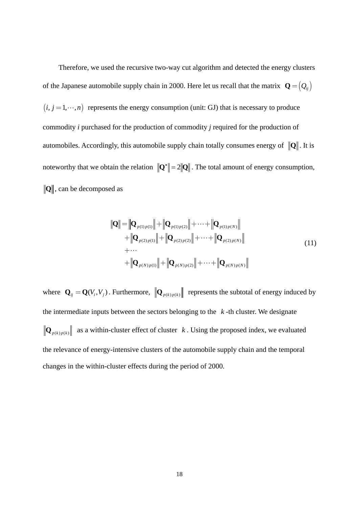Therefore, we used the recursive two-way cut algorithm and detected the energy clusters of the Japanese automobile supply chain in 2000. Here let us recall that the matrix  $\mathbf{Q} = (Q_{ij})$  $(i, j = 1, \dots, n)$  represents the energy consumption (unit: GJ) that is necessary to produce commodity *i* purchased for the production of commodity *j* required for the production of automobiles. Accordingly, this automobile supply chain totally consumes energy of  $\|Q\|$ . It is noteworthy that we obtain the relation  $\|\mathbf{Q}^*\| = 2\|\mathbf{Q}\|$ . The total amount of energy consumption,  $\|Q\|$ , can be decomposed as

$$
\|\mathbf{Q}\| = \|\mathbf{Q}_{p(1)p(1)}\| + \|\mathbf{Q}_{p(1)p(2)}\| + \cdots + \|\mathbf{Q}_{p(1)p(N)}\| \n+ \|\mathbf{Q}_{p(2)p(1)}\| + \|\mathbf{Q}_{p(2)p(2)}\| + \cdots + \|\mathbf{Q}_{p(2)p(N)}\| \n+ \cdots \n+ \|\mathbf{Q}_{p(N)p(1)}\| + \|\mathbf{Q}_{p(N)p(2)}\| + \cdots + \|\mathbf{Q}_{p(N)p(N)}\|
$$
\n(11)

where  $\mathbf{Q}_{ij} = \mathbf{Q}(V_i, V_j)$ . Furthermore,  $\left\| \mathbf{Q}_{p(k)p(k)} \right\|$  represents the subtotal of energy induced by the intermediate inputs between the sectors belonging to the  $k$ -th cluster. We designate  $\|\mathbf{Q}_{p(k)p(k)}\|$  as a within-cluster effect of cluster *k*. Using the proposed index, we evaluated the relevance of energy-intensive clusters of the automobile supply chain and the temporal changes in the within-cluster effects during the period of 2000.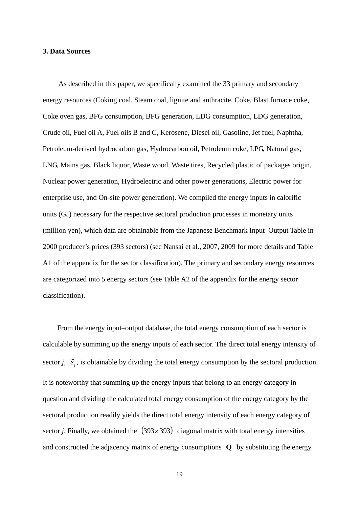#### **3. Data Sources**

As described in this paper, we specifically examined the 33 primary and secondary energy resources (Coking coal, Steam coal, lignite and anthracite, Coke, Blast furnace coke, Coke oven gas, BFG consumption, BFG generation, LDG consumption, LDG generation, Crude oil, Fuel oil A, Fuel oils B and C, Kerosene, Diesel oil, Gasoline, Jet fuel, Naphtha, Petroleum-derived hydrocarbon gas, Hydrocarbon oil, Petroleum coke, LPG, Natural gas, LNG, Mains gas, Black liquor, Waste wood, Waste tires, Recycled plastic of packages origin, Nuclear power generation, Hydroelectric and other power generations, Electric power for enterprise use, and On-site power generation). We compiled the energy inputs in calorific units (GJ) necessary for the respective sectoral production processes in monetary units (million yen), which data are obtainable from the Japanese Benchmark Input–Output Table in 2000 producer's prices (393 sectors) (see Nansai et al., 2007, 2009 for more details and Table A1 of the appendix for the sector classification). The primary and secondary energy resources are categorized into 5 energy sectors (see Table A2 of the appendix for the energy sector classification).

From the energy input–output database, the total energy consumption of each sector is calculable by summing up the energy inputs of each sector. The direct total energy intensity of sector *j*,  $\tilde{e}_j$ , is obtainable by dividing the total energy consumption by the sectoral production. It is noteworthy that summing up the energy inputs that belong to an energy category in question and dividing the calculated total energy consumption of the energy category by the sectoral production readily yields the direct total energy intensity of each energy category of sector *j*. Finally, we obtained the  $(393 \times 393)$  diagonal matrix with total energy intensities and constructed the adjacency matrix of energy consumptions **Q** by substituting the energy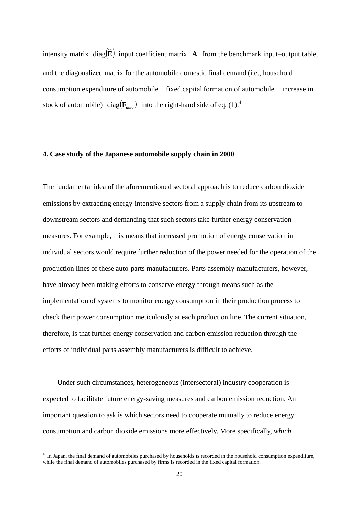intensity matrix  $diag(\tilde{E})$ , input coefficient matrix **A** from the benchmark input–output table, and the diagonalized matrix for the automobile domestic final demand (i.e., household consumption expenditure of automobile + fixed capital formation of automobile + increase in stock of automobile) diag( $\mathbf{F}_{\text{auto}}$ ) into the right-hand side of eq. (1).<sup>4</sup>

#### **4. Case study of the Japanese automobile supply chain in 2000**

The fundamental idea of the aforementioned sectoral approach is to reduce carbon dioxide emissions by extracting energy-intensive sectors from a supply chain from its upstream to downstream sectors and demanding that such sectors take further energy conservation measures. For example, this means that increased promotion of energy conservation in individual sectors would require further reduction of the power needed for the operation of the production lines of these auto-parts manufacturers. Parts assembly manufacturers, however, have already been making efforts to conserve energy through means such as the implementation of systems to monitor energy consumption in their production process to check their power consumption meticulously at each production line. The current situation, therefore, is that further energy conservation and carbon emission reduction through the efforts of individual parts assembly manufacturers is difficult to achieve.

Under such circumstances, heterogeneous (intersectoral) industry cooperation is expected to facilitate future energy-saving measures and carbon emission reduction. An important question to ask is which sectors need to cooperate mutually to reduce energy consumption and carbon dioxide emissions more effectively. More specifically, *which* 

 4 In Japan, the final demand of automobiles purchased by households is recorded in the household consumption expenditure, while the final demand of automobiles purchased by firms is recorded in the fixed capital formation.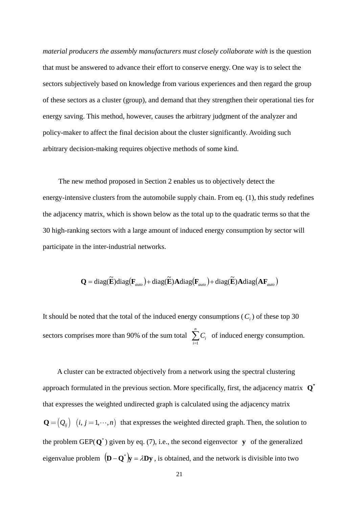*material producers the assembly manufacturers must closely collaborate with* is the question that must be answered to advance their effort to conserve energy. One way is to select the sectors subjectively based on knowledge from various experiences and then regard the group of these sectors as a cluster (group), and demand that they strengthen their operational ties for energy saving. This method, however, causes the arbitrary judgment of the analyzer and policy-maker to affect the final decision about the cluster significantly. Avoiding such arbitrary decision-making requires objective methods of some kind.

The new method proposed in Section 2 enables us to objectively detect the energy-intensive clusters from the automobile supply chain. From eq. (1), this study redefines the adjacency matrix, which is shown below as the total up to the quadratic terms so that the 30 high-ranking sectors with a large amount of induced energy consumption by sector will participate in the inter-industrial networks.

$$
\mathbf{Q} = \text{diag}(\mathbf{\widetilde{E}}) \text{diag}(\mathbf{F}_{\text{auto}}) + \text{diag}(\mathbf{\widetilde{E}}) \mathbf{A} \text{diag}(\mathbf{F}_{\text{auto}}) + \text{diag}(\mathbf{\widetilde{E}}) \mathbf{A} \text{diag}(\mathbf{A} \mathbf{F}_{\text{auto}})
$$

It should be noted that the total of the induced energy consumptions  $(C_i)$  of these top 30 sectors comprises more than 90% of the sum total  $\sum_{i=1}^n$ *i i C*<sub>*i*</sub> of induced energy consumption.

A cluster can be extracted objectively from a network using the spectral clustering approach formulated in the previous section. More specifically, first, the adjacency matrix  $\mathbf{Q}^*$ that expresses the weighted undirected graph is calculated using the adjacency matrix  $\mathbf{Q} = ( Q_{ij} )$   $(i, j = 1, \dots, n)$  that expresses the weighted directed graph. Then, the solution to the problem GEP( $Q^*$ ) given by eq. (7), i.e., the second eigenvector **y** of the generalized eigenvalue problem  $(D - Q^*)y = \lambda Dy$ , is obtained, and the network is divisible into two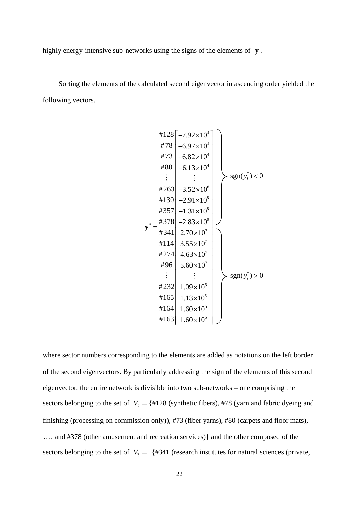highly energy-intensive sub-networks using the signs of the elements of **y** .

Sorting the elements of the calculated second eigenvector in ascending order yielded the following vectors.

$$
\begin{array}{c}\n#128 \left[ -7.92 \times 10^{4} \right] \\
#78 \left[ -6.97 \times 10^{4} \right] \\
#80 \left[ -6.13 \times 10^{4} \right] \\
+ 80 \left[ -6.13 \times 10^{4} \right] \\
+ 263 \left[ -3.52 \times 10^{8} \right] \\
+ 130 \left[ -2.91 \times 10^{8} \right] \\
+ 357 \left[ -1.31 \times 10^{8} \right] \\
+ 378 \left[ -2.83 \times 10^{9} \right] \\
+ 114 \left[ 3.55 \times 10^{7} \right] \\
+ 274 \left[ 4.63 \times 10^{7} \right] \\
+ 96 \left[ 5.60 \times 10^{7} \right] \\
+ 165 \left[ 1.13 \times 10^{5} \right] \\
+ 164 \left[ 1.13 \times 10^{5} \right] \\
+ 163 \left[ 1.60 \times 10^{5} \right] \\
\end{array}
$$
sgn(*y<sub>i</sub>*<sup>\*</sup>) > 0

where sector numbers corresponding to the elements are added as notations on the left border of the second eigenvectors. By particularly addressing the sign of the elements of this second eigenvector, the entire network is divisible into two sub-networks – one comprising the sectors belonging to the set of  $V_2 = \{ \text{\#128 (synthetic fibers)}, \text{\#78 (yarn and fabric giveng and}$ finishing (processing on commission only)), #73 (fiber yarns), #80 (carpets and floor mats), …, and #378 (other amusement and recreation services)} and the other composed of the sectors belonging to the set of  $V_3 = \{ \#341 \text{ (research institute for natural sciences (private, } \}$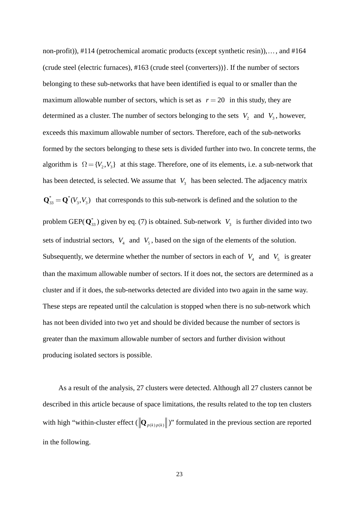non-profit)), #114 (petrochemical aromatic products (except synthetic resin)),…, and #164 (crude steel (electric furnaces), #163 (crude steel (converters))}. If the number of sectors belonging to these sub-networks that have been identified is equal to or smaller than the maximum allowable number of sectors, which is set as  $r = 20$  in this study, they are determined as a cluster. The number of sectors belonging to the sets  $V_2$  and  $V_3$ , however, exceeds this maximum allowable number of sectors. Therefore, each of the sub-networks formed by the sectors belonging to these sets is divided further into two. In concrete terms, the algorithm is  $\Omega = \{V_2, V_3\}$  at this stage. Therefore, one of its elements, i.e. a sub-network that has been detected, is selected. We assume that  $V_3$  has been selected. The adjacency matrix  $\mathbf{Q}_{33}^* = \mathbf{Q}^*(V_3, V_3)$  that corresponds to this sub-network is defined and the solution to the problem GEP( $\mathbf{Q}_{33}^*$ ) given by eq. (7) is obtained. Sub-network  $V_3$  is further divided into two sets of industrial sectors,  $V_4$  and  $V_5$ , based on the sign of the elements of the solution. Subsequently, we determine whether the number of sectors in each of  $V_4$  and  $V_5$  is greater than the maximum allowable number of sectors. If it does not, the sectors are determined as a cluster and if it does, the sub-networks detected are divided into two again in the same way. These steps are repeated until the calculation is stopped when there is no sub-network which has not been divided into two yet and should be divided because the number of sectors is greater than the maximum allowable number of sectors and further division without producing isolated sectors is possible.

As a result of the analysis, 27 clusters were detected. Although all 27 clusters cannot be described in this article because of space limitations, the results related to the top ten clusters with high "within-cluster effect  $(\|Q_{p(k)p(k)}\|)$ " formulated in the previous section are reported in the following.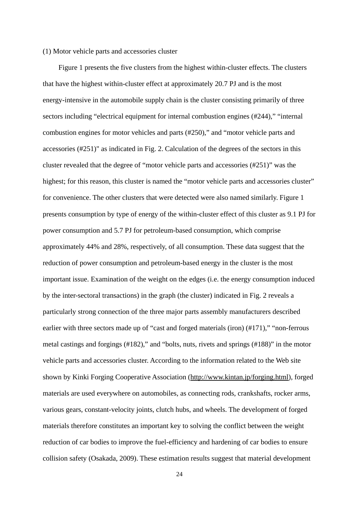#### (1) Motor vehicle parts and accessories cluster

Figure 1 presents the five clusters from the highest within-cluster effects. The clusters that have the highest within-cluster effect at approximately 20.7 PJ and is the most energy-intensive in the automobile supply chain is the cluster consisting primarily of three sectors including "electrical equipment for internal combustion engines (#244)," "internal combustion engines for motor vehicles and parts (#250)," and "motor vehicle parts and accessories (#251)" as indicated in Fig. 2. Calculation of the degrees of the sectors in this cluster revealed that the degree of "motor vehicle parts and accessories (#251)" was the highest; for this reason, this cluster is named the "motor vehicle parts and accessories cluster" for convenience. The other clusters that were detected were also named similarly. Figure 1 presents consumption by type of energy of the within-cluster effect of this cluster as 9.1 PJ for power consumption and 5.7 PJ for petroleum-based consumption, which comprise approximately 44% and 28%, respectively, of all consumption. These data suggest that the reduction of power consumption and petroleum-based energy in the cluster is the most important issue. Examination of the weight on the edges (i.e. the energy consumption induced by the inter-sectoral transactions) in the graph (the cluster) indicated in Fig. 2 reveals a particularly strong connection of the three major parts assembly manufacturers described earlier with three sectors made up of "cast and forged materials (iron) (#171)," "non-ferrous metal castings and forgings (#182)," and "bolts, nuts, rivets and springs (#188)" in the motor vehicle parts and accessories cluster. According to the information related to the Web site shown by Kinki Forging Cooperative Association (http://www.kintan.jp/forging.html), forged materials are used everywhere on automobiles, as connecting rods, crankshafts, rocker arms, various gears, constant-velocity joints, clutch hubs, and wheels. The development of forged materials therefore constitutes an important key to solving the conflict between the weight reduction of car bodies to improve the fuel-efficiency and hardening of car bodies to ensure collision safety (Osakada, 2009). These estimation results suggest that material development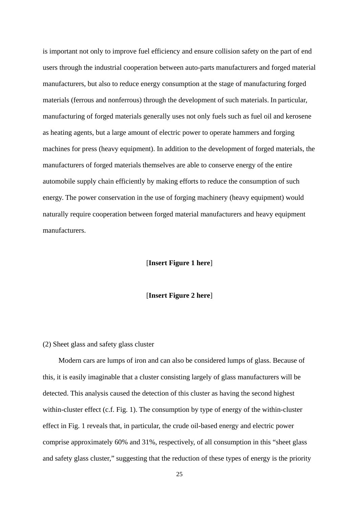is important not only to improve fuel efficiency and ensure collision safety on the part of end users through the industrial cooperation between auto-parts manufacturers and forged material manufacturers, but also to reduce energy consumption at the stage of manufacturing forged materials (ferrous and nonferrous) through the development of such materials. In particular, manufacturing of forged materials generally uses not only fuels such as fuel oil and kerosene as heating agents, but a large amount of electric power to operate hammers and forging machines for press (heavy equipment). In addition to the development of forged materials, the manufacturers of forged materials themselves are able to conserve energy of the entire automobile supply chain efficiently by making efforts to reduce the consumption of such energy. The power conservation in the use of forging machinery (heavy equipment) would naturally require cooperation between forged material manufacturers and heavy equipment manufacturers.

#### [**Insert Figure 1 here**]

#### [**Insert Figure 2 here**]

#### (2) Sheet glass and safety glass cluster

Modern cars are lumps of iron and can also be considered lumps of glass. Because of this, it is easily imaginable that a cluster consisting largely of glass manufacturers will be detected. This analysis caused the detection of this cluster as having the second highest within-cluster effect (c.f. Fig. 1). The consumption by type of energy of the within-cluster effect in Fig. 1 reveals that, in particular, the crude oil-based energy and electric power comprise approximately 60% and 31%, respectively, of all consumption in this "sheet glass and safety glass cluster," suggesting that the reduction of these types of energy is the priority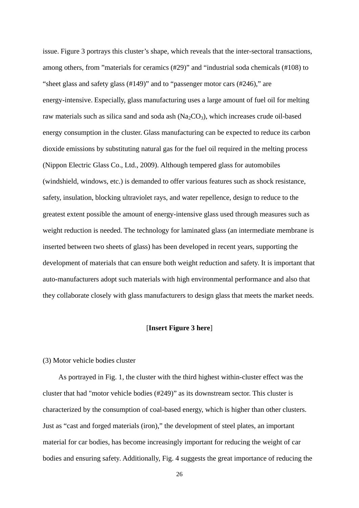issue. Figure 3 portrays this cluster's shape, which reveals that the inter-sectoral transactions, among others, from "materials for ceramics (#29)" and "industrial soda chemicals (#108) to "sheet glass and safety glass (#149)" and to "passenger motor cars (#246)," are energy-intensive. Especially, glass manufacturing uses a large amount of fuel oil for melting raw materials such as silica sand and soda ash  $(Na_2CO_3)$ , which increases crude oil-based energy consumption in the cluster. Glass manufacturing can be expected to reduce its carbon dioxide emissions by substituting natural gas for the fuel oil required in the melting process (Nippon Electric Glass Co., Ltd., 2009). Although tempered glass for automobiles (windshield, windows, etc.) is demanded to offer various features such as shock resistance, safety, insulation, blocking ultraviolet rays, and water repellence, design to reduce to the greatest extent possible the amount of energy-intensive glass used through measures such as weight reduction is needed. The technology for laminated glass (an intermediate membrane is inserted between two sheets of glass) has been developed in recent years, supporting the development of materials that can ensure both weight reduction and safety. It is important that auto-manufacturers adopt such materials with high environmental performance and also that they collaborate closely with glass manufacturers to design glass that meets the market needs.

#### [**Insert Figure 3 here**]

#### (3) Motor vehicle bodies cluster

As portrayed in Fig. 1, the cluster with the third highest within-cluster effect was the cluster that had "motor vehicle bodies (#249)" as its downstream sector. This cluster is characterized by the consumption of coal-based energy, which is higher than other clusters. Just as "cast and forged materials (iron)," the development of steel plates, an important material for car bodies, has become increasingly important for reducing the weight of car bodies and ensuring safety. Additionally, Fig. 4 suggests the great importance of reducing the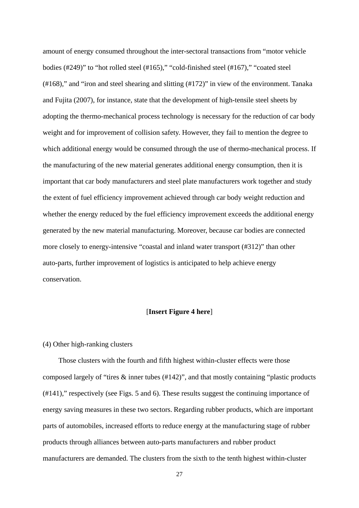amount of energy consumed throughout the inter-sectoral transactions from "motor vehicle bodies (#249)" to "hot rolled steel (#165)," "cold-finished steel (#167)," "coated steel (#168)," and "iron and steel shearing and slitting (#172)" in view of the environment. Tanaka and Fujita (2007), for instance, state that the development of high-tensile steel sheets by adopting the thermo-mechanical process technology is necessary for the reduction of car body weight and for improvement of collision safety. However, they fail to mention the degree to which additional energy would be consumed through the use of thermo-mechanical process. If the manufacturing of the new material generates additional energy consumption, then it is important that car body manufacturers and steel plate manufacturers work together and study the extent of fuel efficiency improvement achieved through car body weight reduction and whether the energy reduced by the fuel efficiency improvement exceeds the additional energy generated by the new material manufacturing. Moreover, because car bodies are connected more closely to energy-intensive "coastal and inland water transport (#312)" than other auto-parts, further improvement of logistics is anticipated to help achieve energy conservation.

#### [**Insert Figure 4 here**]

#### (4) Other high-ranking clusters

Those clusters with the fourth and fifth highest within-cluster effects were those composed largely of "tires & inner tubes (#142)", and that mostly containing "plastic products (#141)," respectively (see Figs. 5 and 6). These results suggest the continuing importance of energy saving measures in these two sectors. Regarding rubber products, which are important parts of automobiles, increased efforts to reduce energy at the manufacturing stage of rubber products through alliances between auto-parts manufacturers and rubber product manufacturers are demanded. The clusters from the sixth to the tenth highest within-cluster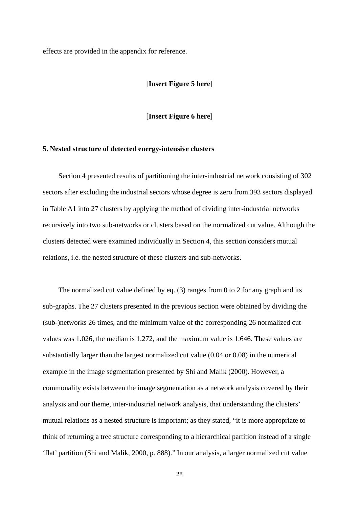effects are provided in the appendix for reference.

#### [**Insert Figure 5 here**]

[**Insert Figure 6 here**]

#### **5. Nested structure of detected energy-intensive clusters**

Section 4 presented results of partitioning the inter-industrial network consisting of 302 sectors after excluding the industrial sectors whose degree is zero from 393 sectors displayed in Table A1 into 27 clusters by applying the method of dividing inter-industrial networks recursively into two sub-networks or clusters based on the normalized cut value. Although the clusters detected were examined individually in Section 4, this section considers mutual relations, i.e. the nested structure of these clusters and sub-networks.

The normalized cut value defined by eq. (3) ranges from 0 to 2 for any graph and its sub-graphs. The 27 clusters presented in the previous section were obtained by dividing the (sub-)networks 26 times, and the minimum value of the corresponding 26 normalized cut values was 1.026, the median is 1.272, and the maximum value is 1.646. These values are substantially larger than the largest normalized cut value (0.04 or 0.08) in the numerical example in the image segmentation presented by Shi and Malik (2000). However, a commonality exists between the image segmentation as a network analysis covered by their analysis and our theme, inter-industrial network analysis, that understanding the clusters' mutual relations as a nested structure is important; as they stated, "it is more appropriate to think of returning a tree structure corresponding to a hierarchical partition instead of a single 'flat' partition (Shi and Malik, 2000, p. 888)." In our analysis, a larger normalized cut value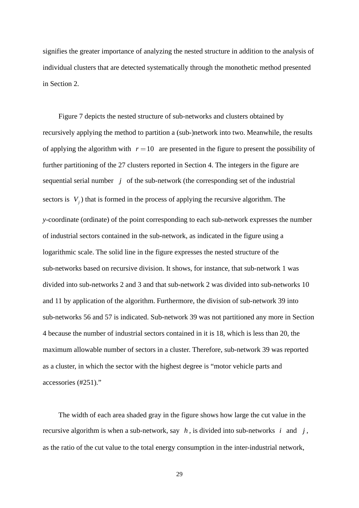signifies the greater importance of analyzing the nested structure in addition to the analysis of individual clusters that are detected systematically through the monothetic method presented in Section 2.

Figure 7 depicts the nested structure of sub-networks and clusters obtained by recursively applying the method to partition a (sub-)network into two. Meanwhile, the results of applying the algorithm with  $r = 10$  are presented in the figure to present the possibility of further partitioning of the 27 clusters reported in Section 4. The integers in the figure are sequential serial number *j* of the sub-network (the corresponding set of the industrial sectors is  $V_i$ ) that is formed in the process of applying the recursive algorithm. The *y*-coordinate (ordinate) of the point corresponding to each sub-network expresses the number of industrial sectors contained in the sub-network, as indicated in the figure using a logarithmic scale. The solid line in the figure expresses the nested structure of the sub-networks based on recursive division. It shows, for instance, that sub-network 1 was divided into sub-networks 2 and 3 and that sub-network 2 was divided into sub-networks 10 and 11 by application of the algorithm. Furthermore, the division of sub-network 39 into sub-networks 56 and 57 is indicated. Sub-network 39 was not partitioned any more in Section 4 because the number of industrial sectors contained in it is 18, which is less than 20, the maximum allowable number of sectors in a cluster. Therefore, sub-network 39 was reported as a cluster, in which the sector with the highest degree is "motor vehicle parts and accessories (#251)."

The width of each area shaded gray in the figure shows how large the cut value in the recursive algorithm is when a sub-network, say  $h$ , is divided into sub-networks  $i$  and  $j$ , as the ratio of the cut value to the total energy consumption in the inter-industrial network,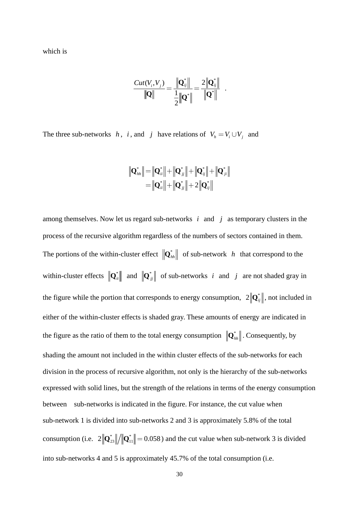which is

$$
\frac{Cut(V_i, V_j)}{\|\mathbf{Q}\|} = \frac{\|\mathbf{Q}_{ij}^*\|}{\frac{1}{2}\|\mathbf{Q}^*\|} = \frac{2\|\mathbf{Q}_{ij}^*\|}{\|\mathbf{Q}^*\|} .
$$

The three sub-networks *h*, *i*, and *j* have relations of  $V_h = V_i \cup V_j$  and

$$
\|\mathbf{Q}_{hh}^*\| = \|\mathbf{Q}_{ii}^*\| + \|\mathbf{Q}_{jj}^*\| + \|\mathbf{Q}_{ij}^*\| + \|\mathbf{Q}_{ji}^*\|
$$
  
=  $\|\mathbf{Q}_{ii}^*\| + \|\mathbf{Q}_{jj}^*\| + 2\|\mathbf{Q}_{ij}^*\|$ 

among themselves. Now let us regard sub-networks *i* and *j* as temporary clusters in the process of the recursive algorithm regardless of the numbers of sectors contained in them. The portions of the within-cluster effect  $\|\mathbf{Q}_{hh}^*\|$  of sub-network *h* that correspond to the within-cluster effects  $\|\mathbf{Q}_{ii}^*\|$  and  $\|\mathbf{Q}_{jj}^*\|$  of sub-networks *i* and *j* are not shaded gray in the figure while the portion that corresponds to energy consumption,  $2\|\mathbf{Q}_{ij}^*\|$ , not included in either of the within-cluster effects is shaded gray. These amounts of energy are indicated in the figure as the ratio of them to the total energy consumption  $\|\mathbf{Q}_{hh}^*\|$ . Consequently, by shading the amount not included in the within cluster effects of the sub-networks for each division in the process of recursive algorithm, not only is the hierarchy of the sub-networks expressed with solid lines, but the strength of the relations in terms of the energy consumption between sub-networks is indicated in the figure. For instance, the cut value when sub-network 1 is divided into sub-networks 2 and 3 is approximately 5.8% of the total consumption (i.e.  $2\|\mathbf{Q}_{23}^*\|/\|\mathbf{Q}_{11}^*\|=0.058$ ) and the cut value when sub-network 3 is divided into sub-networks 4 and 5 is approximately 45.7% of the total consumption (i.e.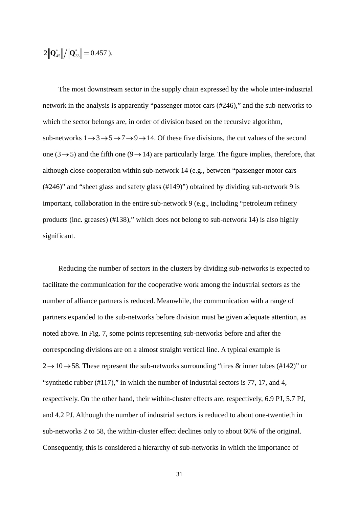$$
2\left\|\mathbf{Q}_{45}^*\right\|/\left\|\mathbf{Q}_{33}^*\right\|=0.457
$$
 ).

The most downstream sector in the supply chain expressed by the whole inter-industrial network in the analysis is apparently "passenger motor cars (#246)," and the sub-networks to which the sector belongs are, in order of division based on the recursive algorithm, sub-networks  $1 \rightarrow 3 \rightarrow 5 \rightarrow 7 \rightarrow 9 \rightarrow 14$ . Of these five divisions, the cut values of the second one (3  $\rightarrow$  5) and the fifth one (9  $\rightarrow$  14) are particularly large. The figure implies, therefore, that although close cooperation within sub-network 14 (e.g., between "passenger motor cars (#246)" and "sheet glass and safety glass (#149)") obtained by dividing sub-network 9 is important, collaboration in the entire sub-network 9 (e.g., including "petroleum refinery products (inc. greases) (#138)," which does not belong to sub-network 14) is also highly significant.

Reducing the number of sectors in the clusters by dividing sub-networks is expected to facilitate the communication for the cooperative work among the industrial sectors as the number of alliance partners is reduced. Meanwhile, the communication with a range of partners expanded to the sub-networks before division must be given adequate attention, as noted above. In Fig. 7, some points representing sub-networks before and after the corresponding divisions are on a almost straight vertical line. A typical example is  $2 \rightarrow 10 \rightarrow 58$ . These represent the sub-networks surrounding "tires & inner tubes (#142)" or "synthetic rubber (#117)," in which the number of industrial sectors is 77, 17, and 4, respectively. On the other hand, their within-cluster effects are, respectively, 6.9 PJ, 5.7 PJ, and 4.2 PJ. Although the number of industrial sectors is reduced to about one-twentieth in sub-networks 2 to 58, the within-cluster effect declines only to about 60% of the original. Consequently, this is considered a hierarchy of sub-networks in which the importance of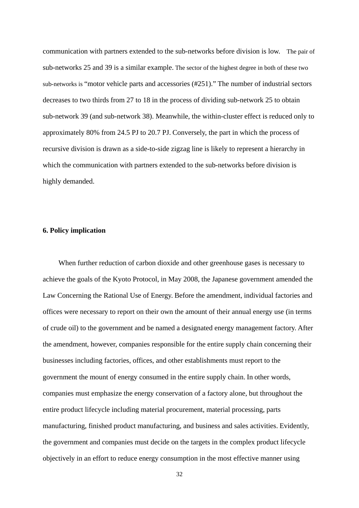communication with partners extended to the sub-networks before division is low. The pair of sub-networks 25 and 39 is a similar example. The sector of the highest degree in both of these two sub-networks is "motor vehicle parts and accessories (#251)." The number of industrial sectors decreases to two thirds from 27 to 18 in the process of dividing sub-network 25 to obtain sub-network 39 (and sub-network 38). Meanwhile, the within-cluster effect is reduced only to approximately 80% from 24.5 PJ to 20.7 PJ. Conversely, the part in which the process of recursive division is drawn as a side-to-side zigzag line is likely to represent a hierarchy in which the communication with partners extended to the sub-networks before division is highly demanded.

#### **6. Policy implication**

When further reduction of carbon dioxide and other greenhouse gases is necessary to achieve the goals of the Kyoto Protocol, in May 2008, the Japanese government amended the Law Concerning the Rational Use of Energy. Before the amendment, individual factories and offices were necessary to report on their own the amount of their annual energy use (in terms of crude oil) to the government and be named a designated energy management factory. After the amendment, however, companies responsible for the entire supply chain concerning their businesses including factories, offices, and other establishments must report to the government the mount of energy consumed in the entire supply chain. In other words, companies must emphasize the energy conservation of a factory alone, but throughout the entire product lifecycle including material procurement, material processing, parts manufacturing, finished product manufacturing, and business and sales activities. Evidently, the government and companies must decide on the targets in the complex product lifecycle objectively in an effort to reduce energy consumption in the most effective manner using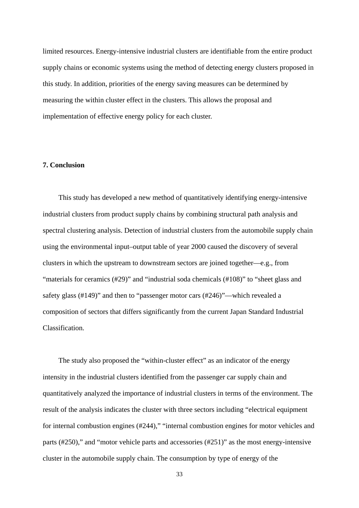limited resources. Energy-intensive industrial clusters are identifiable from the entire product supply chains or economic systems using the method of detecting energy clusters proposed in this study. In addition, priorities of the energy saving measures can be determined by measuring the within cluster effect in the clusters. This allows the proposal and implementation of effective energy policy for each cluster.

#### **7. Conclusion**

This study has developed a new method of quantitatively identifying energy-intensive industrial clusters from product supply chains by combining structural path analysis and spectral clustering analysis. Detection of industrial clusters from the automobile supply chain using the environmental input–output table of year 2000 caused the discovery of several clusters in which the upstream to downstream sectors are joined together––e.g., from "materials for ceramics (#29)" and "industrial soda chemicals (#108)" to "sheet glass and safety glass (#149)" and then to "passenger motor cars (#246)"––which revealed a composition of sectors that differs significantly from the current Japan Standard Industrial Classification.

The study also proposed the "within-cluster effect" as an indicator of the energy intensity in the industrial clusters identified from the passenger car supply chain and quantitatively analyzed the importance of industrial clusters in terms of the environment. The result of the analysis indicates the cluster with three sectors including "electrical equipment for internal combustion engines (#244)," "internal combustion engines for motor vehicles and parts (#250)," and "motor vehicle parts and accessories (#251)" as the most energy-intensive cluster in the automobile supply chain. The consumption by type of energy of the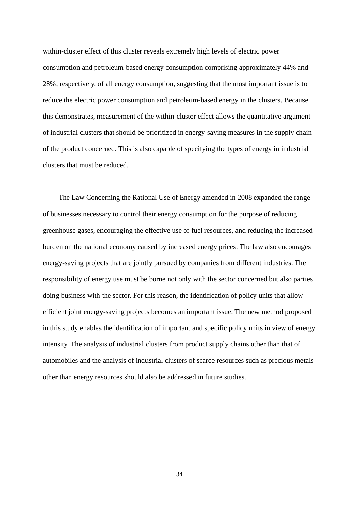within-cluster effect of this cluster reveals extremely high levels of electric power consumption and petroleum-based energy consumption comprising approximately 44% and 28%, respectively, of all energy consumption, suggesting that the most important issue is to reduce the electric power consumption and petroleum-based energy in the clusters. Because this demonstrates, measurement of the within-cluster effect allows the quantitative argument of industrial clusters that should be prioritized in energy-saving measures in the supply chain of the product concerned. This is also capable of specifying the types of energy in industrial clusters that must be reduced.

The Law Concerning the Rational Use of Energy amended in 2008 expanded the range of businesses necessary to control their energy consumption for the purpose of reducing greenhouse gases, encouraging the effective use of fuel resources, and reducing the increased burden on the national economy caused by increased energy prices. The law also encourages energy-saving projects that are jointly pursued by companies from different industries. The responsibility of energy use must be borne not only with the sector concerned but also parties doing business with the sector. For this reason, the identification of policy units that allow efficient joint energy-saving projects becomes an important issue. The new method proposed in this study enables the identification of important and specific policy units in view of energy intensity. The analysis of industrial clusters from product supply chains other than that of automobiles and the analysis of industrial clusters of scarce resources such as precious metals other than energy resources should also be addressed in future studies.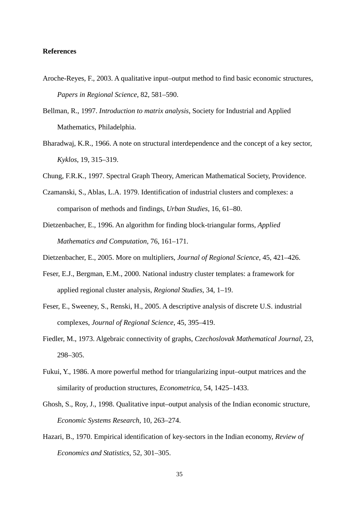#### **References**

- Aroche-Reyes, F., 2003. A qualitative input–output method to find basic economic structures, *Papers in Regional Science*, 82, 581–590.
- Bellman, R., 1997. *Introduction to matrix analysis*, Society for Industrial and Applied Mathematics, Philadelphia.
- Bharadwaj, K.R., 1966. A note on structural interdependence and the concept of a key sector, *Kyklos*, 19, 315–319.
- Chung, F.R.K., 1997. Spectral Graph Theory, American Mathematical Society, Providence.
- Czamanski, S., Ablas, L.A. 1979. Identification of industrial clusters and complexes: a comparison of methods and findings, *Urban Studies*, 16, 61–80.
- Dietzenbacher, E., 1996. An algorithm for finding block-triangular forms, *Applied Mathematics and Computation*, 76, 161–171.

Dietzenbacher, E., 2005. More on multipliers, *Journal of Regional Science*, 45, 421–426.

- Feser, E.J., Bergman, E.M., 2000. National industry cluster templates: a framework for applied regional cluster analysis, *Regional Studies*, 34, 1–19.
- Feser, E., Sweeney, S., Renski, H., 2005. A descriptive analysis of discrete U.S. industrial complexes, *Journal of Regional Science*, 45, 395–419.
- Fiedler, M., 1973. Algebraic connectivity of graphs, *Czechoslovak Mathematical Journal*, 23, 298–305.
- Fukui, Y., 1986. A more powerful method for triangularizing input–output matrices and the similarity of production structures, *Econometrica*, 54, 1425–1433.
- Ghosh, S., Roy, J., 1998. Qualitative input–output analysis of the Indian economic structure, *Economic Systems Research*, 10, 263–274.
- Hazari, B., 1970. Empirical identification of key-sectors in the Indian economy, *Review of Economics and Statistics*, 52, 301–305.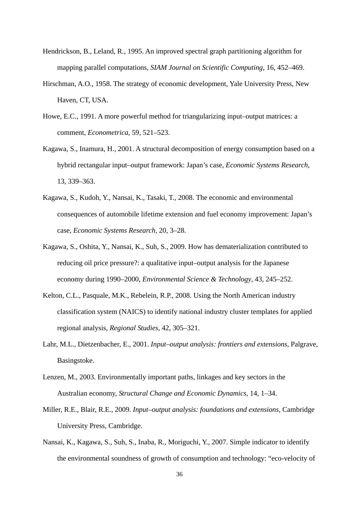- Hendrickson, B., Leland, R., 1995. An improved spectral graph partitioning algorithm for mapping parallel computations, *SIAM Journal on Scientific Computing*, 16, 452–469.
- Hirschman, A.O., 1958. The strategy of economic development, Yale University Press, New Haven, CT, USA.
- Howe, E.C., 1991. A more powerful method for triangularizing input–output matrices: a comment, *Econometrica*, 59, 521–523.
- Kagawa, S., Inamura, H., 2001. A structural decomposition of energy consumption based on a hybrid rectangular input–output framework: Japan's case, *Economic Systems Research*, 13, 339–363.
- Kagawa, S., Kudoh, Y., Nansai, K., Tasaki, T., 2008. The economic and environmental consequences of automobile lifetime extension and fuel economy improvement: Japan's case, *Economic Systems Research*, 20, 3–28.
- Kagawa, S., Oshita, Y., Nansai, K., Suh, S., 2009. How has dematerialization contributed to reducing oil price pressure?: a qualitative input–output analysis for the Japanese economy during 1990–2000, *Environmental Science & Technology*, 43, 245–252.
- Kelton, C.L., Pasquale, M.K., Rebelein, R.P., 2008. Using the North American industry classification system (NAICS) to identify national industry cluster templates for applied regional analysis, *Regional Studies*, 42, 305–321.
- Lahr, M.L., Dietzenbacher, E., 2001. *Input–output analysis: frontiers and extensions*, Palgrave, Basingstoke.
- Lenzen, M., 2003. Environmentally important paths, linkages and key sectors in the Australian economy, *Structural Change and Economic Dynamics*, 14, 1–34.
- Miller, R.E., Blair, R.E., 2009. *Input–output analysis: foundations and extensions*, Cambridge University Press, Cambridge.
- Nansai, K., Kagawa, S., Suh, S., Inaba, R., Moriguchi, Y., 2007. Simple indicator to identify the environmental soundness of growth of consumption and technology: "eco-velocity of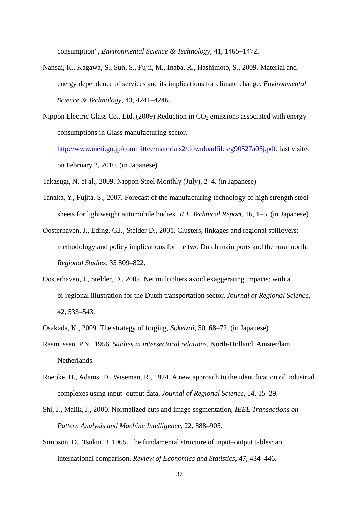consumption", *Environmental Science & Technology*, 41, 1465–1472.

- Nansai, K., Kagawa, S., Suh, S., Fujii, M., Inaba, R., Hashimoto, S., 2009. Material and energy dependence of services and its implications for climate change, *Environmental Science & Technology*, 43, 4241–4246.
- Nippon Electric Glass Co., Ltd. (2009) Reduction in  $CO<sub>2</sub>$  emissions associated with energy consumptions in Glass manufacturing sector, http://www.meti.go.jp/committee/materials2/downloadfiles/g90527a05j.pdf, last visited on February 2, 2010. (in Japanese)

Takasugi, N. et al., 2009. Nippon Steel Monthly (July), 2–4. (in Japanese)

- Tanaka, Y., Fujita, S., 2007. Forecast of the manufacturing technology of high strength steel sheets for lightweight automobile bodies, *JFE Technical Report*, 16, 1–5. (in Japanese)
- Oosterhaven, J., Eding, G.J., Stelder D., 2001. Clusters, linkages and regional spillovers: methodology and policy implications for the two Dutch main ports and the rural north, *Regional Studies*, 35 809–822.
- Oosterhaven, J., Stelder, D., 2002. Net multipliers avoid exaggerating impacts: with a bi-regional illustration for the Dutch transportation sector, *Journal of Regional Science*, 42, 533–543.
- Osakada, K., 2009. The strategy of forging, *Sokeizai*, 50, 68–72. (in Japanese)
- Rasmussen, P.N., 1956. *Studies in intersectoral relations*. North-Holland, Amsterdam, Netherlands.
- Roepke, H., Adams, D., Wiseman, R., 1974. A new approach to the identification of industrial complexes using input–output data, *Journal of Regional Science*, 14, 15–29.
- Shi, J., Malik, J., 2000. Normalized cuts and image segmentation, *IEEE Transactions on Pattern Analysis and Machine Intelligence*, 22, 888–905.
- Simpson, D., Tsukui, J. 1965. The fundamental structure of input–output tables: an international comparison, *Review of Economics and Statistics*, 47, 434–446.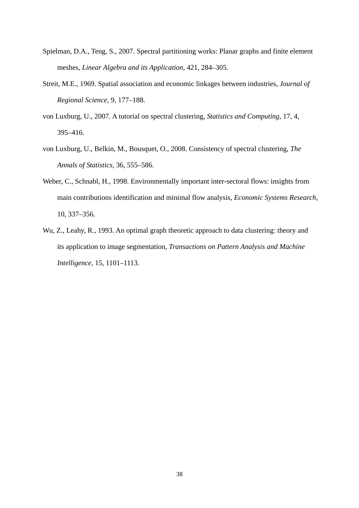- Spielman, D.A., Teng, S., 2007. Spectral partitioning works: Planar graphs and finite element meshes, *Linear Algebra and its Application*, 421, 284–305.
- Streit, M.E., 1969. Spatial association and economic linkages between industries, *Journal of Regional Science*, 9, 177–188.
- von Luxburg, U., 2007. A tutorial on spectral clustering, *Statistics and Computing*, 17, 4, 395–416.
- von Luxburg, U., Belkin, M., Bousquet, O., 2008. Consistency of spectral clustering, *The Annals of Statistics*, 36, 555–586.
- Weber, C., Schnabl, H., 1998. Environmentally important inter-sectoral flows: insights from main contributions identification and minimal flow analysis, *Economic Systems Research*, 10, 337–356.
- Wu, Z., Leahy, R., 1993. An optimal graph theoretic approach to data clustering: theory and its application to image segmentation, *Transactions on Pattern Analysis and Machine Intelligence*, 15, 1101–1113.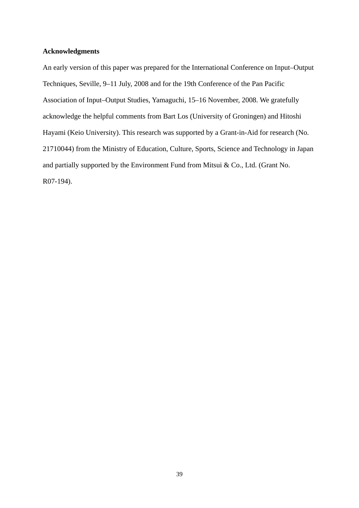#### **Acknowledgments**

An early version of this paper was prepared for the International Conference on Input–Output Techniques, Seville, 9–11 July, 2008 and for the 19th Conference of the Pan Pacific Association of Input–Output Studies, Yamaguchi, 15–16 November, 2008. We gratefully acknowledge the helpful comments from Bart Los (University of Groningen) and Hitoshi Hayami (Keio University). This research was supported by a Grant-in-Aid for research (No. 21710044) from the Ministry of Education, Culture, Sports, Science and Technology in Japan and partially supported by the Environment Fund from Mitsui & Co., Ltd. (Grant No. R07-194).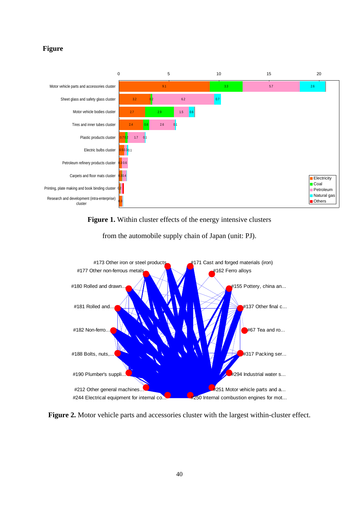#### **Figure**



**Figure 1.** Within cluster effects of the energy intensive clusters



from the automobile supply chain of Japan (unit: PJ).

**Figure 2.** Motor vehicle parts and accessories cluster with the largest within-cluster effect.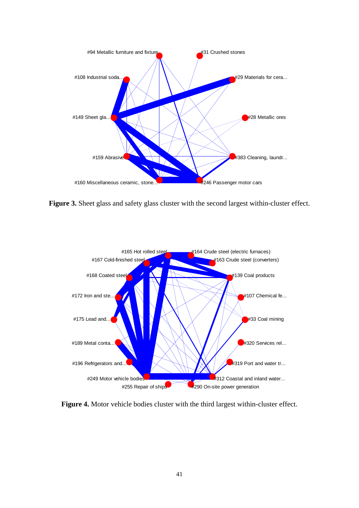

Figure 3. Sheet glass and safety glass cluster with the second largest within-cluster effect.



**Figure 4.** Motor vehicle bodies cluster with the third largest within-cluster effect.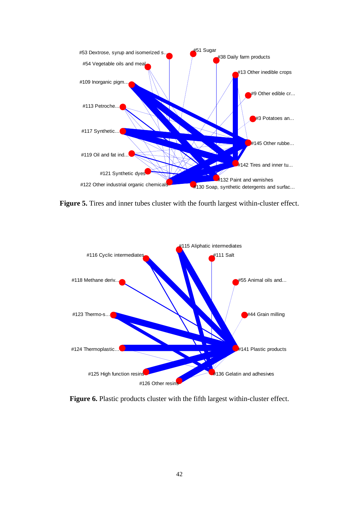

**Figure 5.** Tires and inner tubes cluster with the fourth largest within-cluster effect.



Figure 6. Plastic products cluster with the fifth largest within-cluster effect.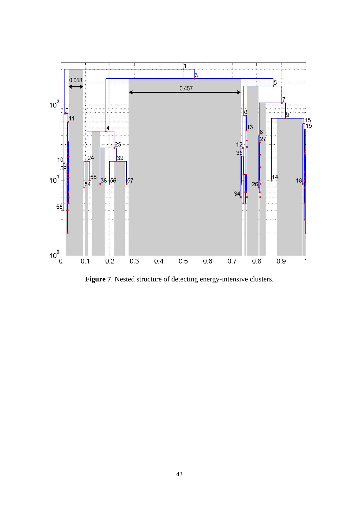

**Figure 7**. Nested structure of detecting energy-intensive clusters.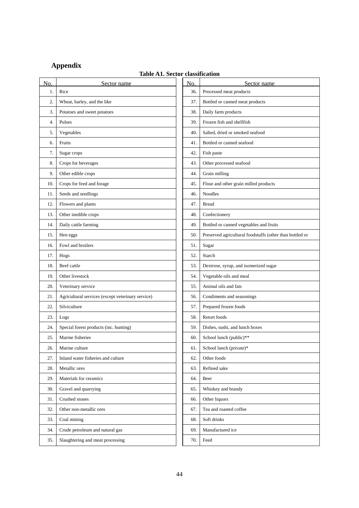### **Appendix**

## **Table A1. Sector classification**

| N <sub>o</sub> | Sector name                                       | No. | Sector name                                              |
|----------------|---------------------------------------------------|-----|----------------------------------------------------------|
| 1.             | Rice                                              | 36. | Processed meat products                                  |
| 2.             | Wheat, barley, and the like                       | 37. | Bottled or canned meat products                          |
| 3.             | Potatoes and sweet potatoes                       | 38. | Daily farm products                                      |
| 4.             | Pulses                                            | 39. | Frozen fish and shellfish                                |
| 5.             | Vegetables                                        | 40. | Salted, dried or smoked seafood                          |
| 6.             | Fruits                                            | 41. | Bottled or canned seafood                                |
| 7.             | Sugar crops                                       | 42. | Fish paste                                               |
| 8.             | Crops for beverages                               | 43. | Other processed seafood                                  |
| 9.             | Other edible crops                                | 44. | Grain milling                                            |
| 10.            | Crops for feed and forage                         | 45. | Flour and other grain milled products                    |
| 11.            | Seeds and seedlings                               | 46. | <b>Noodles</b>                                           |
| 12.            | Flowers and plants                                | 47. | <b>Bread</b>                                             |
| 13.            | Other inedible crops                              | 48. | Confectionery                                            |
| 14.            | Daily cattle farming                              | 49. | Bottled or canned vegetables and fruits                  |
| 15.            | Hen eggs                                          | 50. | Preserved agricultural foodstuffs (other than bottled or |
| 16.            | Fowl and broilers                                 | 51. | Sugar                                                    |
| 17.            | Hogs                                              | 52. | Starch                                                   |
| 18.            | Beef cattle                                       | 53. | Dextrose, syrup, and isomerized sugar                    |
| 19.            | Other livestock                                   | 54. | Vegetable oils and meal                                  |
| 20.            | Veterinary service                                | 55. | Animal oils and fats                                     |
| 21.            | Agricultural services (except veterinary service) | 56. | Condiments and seasonings                                |
| 22.            | Silviculture                                      | 57. | Prepared frozen foods                                    |
| 23.            | Logs                                              | 58. | Retort foods                                             |
| 24.            | Special forest products (inc. hunting)            | 59. | Dishes, sushi, and lunch boxes                           |
| 25.            | Marine fisheries                                  | 60. | School lunch (public)**                                  |
| 26.            | Marine culture                                    | 61. | School lunch (private)*                                  |
| 27.            | Inland water fisheries and culture                | 62. | Other foods                                              |
| 28.            | Metallic ores                                     | 63. | Refined sake                                             |
| 29.            | Materials for ceramics                            | 64. | Beer                                                     |
| 30.            | Gravel and quarrying                              | 65. | Whiskey and brandy                                       |
| 31.            | Crushed stones                                    | 66. | Other liquors                                            |
| 32.            | Other non-metallic ores                           | 67. | Tea and roasted coffee                                   |
| 33.            | Coal mining                                       | 68. | Soft drinks                                              |
| 34.            | Crude petroleum and natural gas                   | 69. | Manufactured ice                                         |
| 35.            | Slaughtering and meat processing                  | 70. | Feed                                                     |
|                |                                                   |     |                                                          |

|                 | classification                                           |
|-----------------|----------------------------------------------------------|
| N <sub>O.</sub> | Sector name                                              |
| 36.             | Processed meat products                                  |
| 37.             | Bottled or canned meat products                          |
| 38.             | Daily farm products                                      |
| 39.             | Frozen fish and shellfish                                |
| 40.             | Salted, dried or smoked seafood                          |
| 41.             | Bottled or canned seafood                                |
| 42.             | Fish paste                                               |
| 43.             | Other processed seafood                                  |
| 44.             | Grain milling                                            |
| 45.             | Flour and other grain milled products                    |
| 46.             | <b>Noodles</b>                                           |
| 47.             | <b>Bread</b>                                             |
| 48.             | Confectionery                                            |
| 49.             | Bottled or canned vegetables and fruits                  |
| 50.             | Preserved agricultural foodstuffs (other than bottled or |
| 51.             | Sugar                                                    |
| 52.             | Starch                                                   |
| 53.             | Dextrose, syrup, and isomerized sugar                    |
| 54.             | Vegetable oils and meal                                  |
| 55.             | Animal oils and fats                                     |
| 56.             | Condiments and seasonings                                |
| 57.             | Prepared frozen foods                                    |
| 58.             | Retort foods                                             |
| 59.             | Dishes, sushi, and lunch boxes                           |
| 60.             | School lunch (public)**                                  |
| 61.             | School lunch (private)*                                  |
| 62.             | Other foods                                              |
| 63.             | Refined sake                                             |
| 64.             | Beer                                                     |
| 65.             | Whiskey and brandy                                       |
| 66.             | Other liquors                                            |
| 67.             | Tea and roasted coffee                                   |
| 68.             | Soft drinks                                              |
| 69.             | Manufactured ice                                         |
| 70.             | Feed                                                     |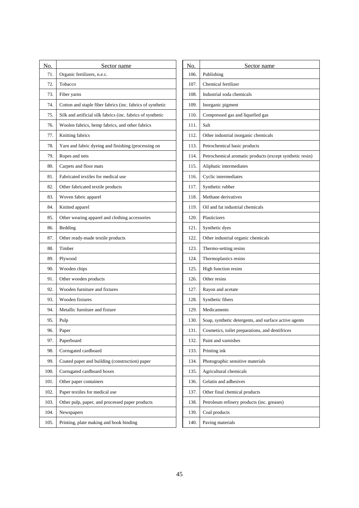| Organic fertilizers, n.e.c.<br>106.<br>Publishing<br>71.<br>72.<br>107.<br>Chemical fertilizer<br>Tobacco<br>Fiber yarns<br>108.<br>Industrial soda chemicals<br>73.<br>Cotton and staple fiber fabrics (inc. fabrics of synthetic<br>109.<br>Inorganic pigment<br>74.<br>Silk and artificial silk fabrics (inc. fabrics of synthetic<br>Compressed gas and liquefied gas<br>75.<br>110.<br>Woolen fabrics, hemp fabrics, and other fabrics<br>111.<br>Salt<br>76.<br>Knitting fabrics<br>77.<br>112.<br>Other industrial inorganic chemicals<br>Yarn and fabric dyeing and finishing (processing on<br>113.<br>Petrochemical basic products<br>78.<br>Ropes and nets<br>Petrochemical aromatic products (except synthetic resin)<br>79.<br>114.<br>Aliphatic intermediates<br>80.<br>Carpets and floor mats<br>115.<br>Fabricated textiles for medical use<br>Cyclic intermediates<br>81.<br>116.<br>Synthetic rubber<br>82.<br>Other fabricated textile products<br>117.<br>Woven fabric apparel<br>Methane derivatives<br>83.<br>118.<br>Knitted apparel<br>119.<br>84.<br>Oil and fat industrial chemicals<br>Other wearing apparel and clothing accessories<br>Plasticizers<br>120.<br>85.<br>Bedding<br>121.<br>Synthetic dyes<br>86.<br>Other industrial organic chemicals<br>Other ready-made textile products<br>122.<br>87.<br>Timber<br>Thermo-setting resins<br>88.<br>123.<br>Plywood<br>Thermoplastics resins<br>89.<br>124.<br>Wooden chips<br>125.<br>High function resins<br>90.<br>Other resins<br>Other wooden products<br>126.<br>91.<br>Wooden furniture and fixtures<br>92.<br>127.<br>Rayon and acetate<br>Wooden fixtures<br>128.<br>Synthetic fibers<br>93.<br>Metallic furniture and fixture<br>129.<br>Medicaments<br>94.<br>130.<br>Soap, synthetic detergents, and surface active agents<br>95.<br>Pulp<br>96.<br>Paper<br>131.<br>Cosmetics, toilet preparations, and dentifrices<br>Paperboard<br>Paint and varnishes<br>97.<br>132.<br>Corrugated cardboard<br>Printing ink<br>98.<br>133.<br>Photographic sensitive materials<br>Coated paper and building (construction) paper<br>99.<br>134.<br>Corrugated cardboard boxes<br>Agricultural chemicals<br>100.<br>135.<br>Other paper containers<br>Gelatin and adhesives<br>101.<br>136.<br>102.<br>Paper textiles for medical use<br>137.<br>Other final chemical products<br>Other pulp, paper, and processed paper products<br>Petroleum refinery products (inc. greases)<br>103.<br>138.<br>Newspapers<br>Coal products<br>104.<br>139.<br>Printing, plate making and book binding<br>Paving materials<br>105.<br>140. | No. | Sector name | No. | Sector name |
|--------------------------------------------------------------------------------------------------------------------------------------------------------------------------------------------------------------------------------------------------------------------------------------------------------------------------------------------------------------------------------------------------------------------------------------------------------------------------------------------------------------------------------------------------------------------------------------------------------------------------------------------------------------------------------------------------------------------------------------------------------------------------------------------------------------------------------------------------------------------------------------------------------------------------------------------------------------------------------------------------------------------------------------------------------------------------------------------------------------------------------------------------------------------------------------------------------------------------------------------------------------------------------------------------------------------------------------------------------------------------------------------------------------------------------------------------------------------------------------------------------------------------------------------------------------------------------------------------------------------------------------------------------------------------------------------------------------------------------------------------------------------------------------------------------------------------------------------------------------------------------------------------------------------------------------------------------------------------------------------------------------------------------------------------------------------------------------------------------------------------------------------------------------------------------------------------------------------------------------------------------------------------------------------------------------------------------------------------------------------------------------------------------------------------------------------------------------------------------------------------------------------------------------------------------------------------------------------------------------|-----|-------------|-----|-------------|
|                                                                                                                                                                                                                                                                                                                                                                                                                                                                                                                                                                                                                                                                                                                                                                                                                                                                                                                                                                                                                                                                                                                                                                                                                                                                                                                                                                                                                                                                                                                                                                                                                                                                                                                                                                                                                                                                                                                                                                                                                                                                                                                                                                                                                                                                                                                                                                                                                                                                                                                                                                                                              |     |             |     |             |
|                                                                                                                                                                                                                                                                                                                                                                                                                                                                                                                                                                                                                                                                                                                                                                                                                                                                                                                                                                                                                                                                                                                                                                                                                                                                                                                                                                                                                                                                                                                                                                                                                                                                                                                                                                                                                                                                                                                                                                                                                                                                                                                                                                                                                                                                                                                                                                                                                                                                                                                                                                                                              |     |             |     |             |
|                                                                                                                                                                                                                                                                                                                                                                                                                                                                                                                                                                                                                                                                                                                                                                                                                                                                                                                                                                                                                                                                                                                                                                                                                                                                                                                                                                                                                                                                                                                                                                                                                                                                                                                                                                                                                                                                                                                                                                                                                                                                                                                                                                                                                                                                                                                                                                                                                                                                                                                                                                                                              |     |             |     |             |
|                                                                                                                                                                                                                                                                                                                                                                                                                                                                                                                                                                                                                                                                                                                                                                                                                                                                                                                                                                                                                                                                                                                                                                                                                                                                                                                                                                                                                                                                                                                                                                                                                                                                                                                                                                                                                                                                                                                                                                                                                                                                                                                                                                                                                                                                                                                                                                                                                                                                                                                                                                                                              |     |             |     |             |
|                                                                                                                                                                                                                                                                                                                                                                                                                                                                                                                                                                                                                                                                                                                                                                                                                                                                                                                                                                                                                                                                                                                                                                                                                                                                                                                                                                                                                                                                                                                                                                                                                                                                                                                                                                                                                                                                                                                                                                                                                                                                                                                                                                                                                                                                                                                                                                                                                                                                                                                                                                                                              |     |             |     |             |
|                                                                                                                                                                                                                                                                                                                                                                                                                                                                                                                                                                                                                                                                                                                                                                                                                                                                                                                                                                                                                                                                                                                                                                                                                                                                                                                                                                                                                                                                                                                                                                                                                                                                                                                                                                                                                                                                                                                                                                                                                                                                                                                                                                                                                                                                                                                                                                                                                                                                                                                                                                                                              |     |             |     |             |
|                                                                                                                                                                                                                                                                                                                                                                                                                                                                                                                                                                                                                                                                                                                                                                                                                                                                                                                                                                                                                                                                                                                                                                                                                                                                                                                                                                                                                                                                                                                                                                                                                                                                                                                                                                                                                                                                                                                                                                                                                                                                                                                                                                                                                                                                                                                                                                                                                                                                                                                                                                                                              |     |             |     |             |
|                                                                                                                                                                                                                                                                                                                                                                                                                                                                                                                                                                                                                                                                                                                                                                                                                                                                                                                                                                                                                                                                                                                                                                                                                                                                                                                                                                                                                                                                                                                                                                                                                                                                                                                                                                                                                                                                                                                                                                                                                                                                                                                                                                                                                                                                                                                                                                                                                                                                                                                                                                                                              |     |             |     |             |
|                                                                                                                                                                                                                                                                                                                                                                                                                                                                                                                                                                                                                                                                                                                                                                                                                                                                                                                                                                                                                                                                                                                                                                                                                                                                                                                                                                                                                                                                                                                                                                                                                                                                                                                                                                                                                                                                                                                                                                                                                                                                                                                                                                                                                                                                                                                                                                                                                                                                                                                                                                                                              |     |             |     |             |
|                                                                                                                                                                                                                                                                                                                                                                                                                                                                                                                                                                                                                                                                                                                                                                                                                                                                                                                                                                                                                                                                                                                                                                                                                                                                                                                                                                                                                                                                                                                                                                                                                                                                                                                                                                                                                                                                                                                                                                                                                                                                                                                                                                                                                                                                                                                                                                                                                                                                                                                                                                                                              |     |             |     |             |
|                                                                                                                                                                                                                                                                                                                                                                                                                                                                                                                                                                                                                                                                                                                                                                                                                                                                                                                                                                                                                                                                                                                                                                                                                                                                                                                                                                                                                                                                                                                                                                                                                                                                                                                                                                                                                                                                                                                                                                                                                                                                                                                                                                                                                                                                                                                                                                                                                                                                                                                                                                                                              |     |             |     |             |
|                                                                                                                                                                                                                                                                                                                                                                                                                                                                                                                                                                                                                                                                                                                                                                                                                                                                                                                                                                                                                                                                                                                                                                                                                                                                                                                                                                                                                                                                                                                                                                                                                                                                                                                                                                                                                                                                                                                                                                                                                                                                                                                                                                                                                                                                                                                                                                                                                                                                                                                                                                                                              |     |             |     |             |
|                                                                                                                                                                                                                                                                                                                                                                                                                                                                                                                                                                                                                                                                                                                                                                                                                                                                                                                                                                                                                                                                                                                                                                                                                                                                                                                                                                                                                                                                                                                                                                                                                                                                                                                                                                                                                                                                                                                                                                                                                                                                                                                                                                                                                                                                                                                                                                                                                                                                                                                                                                                                              |     |             |     |             |
|                                                                                                                                                                                                                                                                                                                                                                                                                                                                                                                                                                                                                                                                                                                                                                                                                                                                                                                                                                                                                                                                                                                                                                                                                                                                                                                                                                                                                                                                                                                                                                                                                                                                                                                                                                                                                                                                                                                                                                                                                                                                                                                                                                                                                                                                                                                                                                                                                                                                                                                                                                                                              |     |             |     |             |
|                                                                                                                                                                                                                                                                                                                                                                                                                                                                                                                                                                                                                                                                                                                                                                                                                                                                                                                                                                                                                                                                                                                                                                                                                                                                                                                                                                                                                                                                                                                                                                                                                                                                                                                                                                                                                                                                                                                                                                                                                                                                                                                                                                                                                                                                                                                                                                                                                                                                                                                                                                                                              |     |             |     |             |
|                                                                                                                                                                                                                                                                                                                                                                                                                                                                                                                                                                                                                                                                                                                                                                                                                                                                                                                                                                                                                                                                                                                                                                                                                                                                                                                                                                                                                                                                                                                                                                                                                                                                                                                                                                                                                                                                                                                                                                                                                                                                                                                                                                                                                                                                                                                                                                                                                                                                                                                                                                                                              |     |             |     |             |
|                                                                                                                                                                                                                                                                                                                                                                                                                                                                                                                                                                                                                                                                                                                                                                                                                                                                                                                                                                                                                                                                                                                                                                                                                                                                                                                                                                                                                                                                                                                                                                                                                                                                                                                                                                                                                                                                                                                                                                                                                                                                                                                                                                                                                                                                                                                                                                                                                                                                                                                                                                                                              |     |             |     |             |
|                                                                                                                                                                                                                                                                                                                                                                                                                                                                                                                                                                                                                                                                                                                                                                                                                                                                                                                                                                                                                                                                                                                                                                                                                                                                                                                                                                                                                                                                                                                                                                                                                                                                                                                                                                                                                                                                                                                                                                                                                                                                                                                                                                                                                                                                                                                                                                                                                                                                                                                                                                                                              |     |             |     |             |
|                                                                                                                                                                                                                                                                                                                                                                                                                                                                                                                                                                                                                                                                                                                                                                                                                                                                                                                                                                                                                                                                                                                                                                                                                                                                                                                                                                                                                                                                                                                                                                                                                                                                                                                                                                                                                                                                                                                                                                                                                                                                                                                                                                                                                                                                                                                                                                                                                                                                                                                                                                                                              |     |             |     |             |
|                                                                                                                                                                                                                                                                                                                                                                                                                                                                                                                                                                                                                                                                                                                                                                                                                                                                                                                                                                                                                                                                                                                                                                                                                                                                                                                                                                                                                                                                                                                                                                                                                                                                                                                                                                                                                                                                                                                                                                                                                                                                                                                                                                                                                                                                                                                                                                                                                                                                                                                                                                                                              |     |             |     |             |
|                                                                                                                                                                                                                                                                                                                                                                                                                                                                                                                                                                                                                                                                                                                                                                                                                                                                                                                                                                                                                                                                                                                                                                                                                                                                                                                                                                                                                                                                                                                                                                                                                                                                                                                                                                                                                                                                                                                                                                                                                                                                                                                                                                                                                                                                                                                                                                                                                                                                                                                                                                                                              |     |             |     |             |
|                                                                                                                                                                                                                                                                                                                                                                                                                                                                                                                                                                                                                                                                                                                                                                                                                                                                                                                                                                                                                                                                                                                                                                                                                                                                                                                                                                                                                                                                                                                                                                                                                                                                                                                                                                                                                                                                                                                                                                                                                                                                                                                                                                                                                                                                                                                                                                                                                                                                                                                                                                                                              |     |             |     |             |
|                                                                                                                                                                                                                                                                                                                                                                                                                                                                                                                                                                                                                                                                                                                                                                                                                                                                                                                                                                                                                                                                                                                                                                                                                                                                                                                                                                                                                                                                                                                                                                                                                                                                                                                                                                                                                                                                                                                                                                                                                                                                                                                                                                                                                                                                                                                                                                                                                                                                                                                                                                                                              |     |             |     |             |
|                                                                                                                                                                                                                                                                                                                                                                                                                                                                                                                                                                                                                                                                                                                                                                                                                                                                                                                                                                                                                                                                                                                                                                                                                                                                                                                                                                                                                                                                                                                                                                                                                                                                                                                                                                                                                                                                                                                                                                                                                                                                                                                                                                                                                                                                                                                                                                                                                                                                                                                                                                                                              |     |             |     |             |
|                                                                                                                                                                                                                                                                                                                                                                                                                                                                                                                                                                                                                                                                                                                                                                                                                                                                                                                                                                                                                                                                                                                                                                                                                                                                                                                                                                                                                                                                                                                                                                                                                                                                                                                                                                                                                                                                                                                                                                                                                                                                                                                                                                                                                                                                                                                                                                                                                                                                                                                                                                                                              |     |             |     |             |
|                                                                                                                                                                                                                                                                                                                                                                                                                                                                                                                                                                                                                                                                                                                                                                                                                                                                                                                                                                                                                                                                                                                                                                                                                                                                                                                                                                                                                                                                                                                                                                                                                                                                                                                                                                                                                                                                                                                                                                                                                                                                                                                                                                                                                                                                                                                                                                                                                                                                                                                                                                                                              |     |             |     |             |
|                                                                                                                                                                                                                                                                                                                                                                                                                                                                                                                                                                                                                                                                                                                                                                                                                                                                                                                                                                                                                                                                                                                                                                                                                                                                                                                                                                                                                                                                                                                                                                                                                                                                                                                                                                                                                                                                                                                                                                                                                                                                                                                                                                                                                                                                                                                                                                                                                                                                                                                                                                                                              |     |             |     |             |
|                                                                                                                                                                                                                                                                                                                                                                                                                                                                                                                                                                                                                                                                                                                                                                                                                                                                                                                                                                                                                                                                                                                                                                                                                                                                                                                                                                                                                                                                                                                                                                                                                                                                                                                                                                                                                                                                                                                                                                                                                                                                                                                                                                                                                                                                                                                                                                                                                                                                                                                                                                                                              |     |             |     |             |
|                                                                                                                                                                                                                                                                                                                                                                                                                                                                                                                                                                                                                                                                                                                                                                                                                                                                                                                                                                                                                                                                                                                                                                                                                                                                                                                                                                                                                                                                                                                                                                                                                                                                                                                                                                                                                                                                                                                                                                                                                                                                                                                                                                                                                                                                                                                                                                                                                                                                                                                                                                                                              |     |             |     |             |
|                                                                                                                                                                                                                                                                                                                                                                                                                                                                                                                                                                                                                                                                                                                                                                                                                                                                                                                                                                                                                                                                                                                                                                                                                                                                                                                                                                                                                                                                                                                                                                                                                                                                                                                                                                                                                                                                                                                                                                                                                                                                                                                                                                                                                                                                                                                                                                                                                                                                                                                                                                                                              |     |             |     |             |
|                                                                                                                                                                                                                                                                                                                                                                                                                                                                                                                                                                                                                                                                                                                                                                                                                                                                                                                                                                                                                                                                                                                                                                                                                                                                                                                                                                                                                                                                                                                                                                                                                                                                                                                                                                                                                                                                                                                                                                                                                                                                                                                                                                                                                                                                                                                                                                                                                                                                                                                                                                                                              |     |             |     |             |
|                                                                                                                                                                                                                                                                                                                                                                                                                                                                                                                                                                                                                                                                                                                                                                                                                                                                                                                                                                                                                                                                                                                                                                                                                                                                                                                                                                                                                                                                                                                                                                                                                                                                                                                                                                                                                                                                                                                                                                                                                                                                                                                                                                                                                                                                                                                                                                                                                                                                                                                                                                                                              |     |             |     |             |
|                                                                                                                                                                                                                                                                                                                                                                                                                                                                                                                                                                                                                                                                                                                                                                                                                                                                                                                                                                                                                                                                                                                                                                                                                                                                                                                                                                                                                                                                                                                                                                                                                                                                                                                                                                                                                                                                                                                                                                                                                                                                                                                                                                                                                                                                                                                                                                                                                                                                                                                                                                                                              |     |             |     |             |
|                                                                                                                                                                                                                                                                                                                                                                                                                                                                                                                                                                                                                                                                                                                                                                                                                                                                                                                                                                                                                                                                                                                                                                                                                                                                                                                                                                                                                                                                                                                                                                                                                                                                                                                                                                                                                                                                                                                                                                                                                                                                                                                                                                                                                                                                                                                                                                                                                                                                                                                                                                                                              |     |             |     |             |
|                                                                                                                                                                                                                                                                                                                                                                                                                                                                                                                                                                                                                                                                                                                                                                                                                                                                                                                                                                                                                                                                                                                                                                                                                                                                                                                                                                                                                                                                                                                                                                                                                                                                                                                                                                                                                                                                                                                                                                                                                                                                                                                                                                                                                                                                                                                                                                                                                                                                                                                                                                                                              |     |             |     |             |

| No.  | Sector name                                              |
|------|----------------------------------------------------------|
| 106. | Publishing                                               |
| 107. | Chemical fertilizer                                      |
| 108. | Industrial soda chemicals                                |
| 109. | Inorganic pigment                                        |
| 110. | Compressed gas and liquefied gas                         |
| 111. | Salt                                                     |
| 112. | Other industrial inorganic chemicals                     |
| 113. | Petrochemical basic products                             |
| 114. | Petrochemical aromatic products (except synthetic resin) |
| 115. | Aliphatic intermediates                                  |
| 116. | Cyclic intermediates                                     |
| 117. | Synthetic rubber                                         |
| 118. | Methane derivatives                                      |
| 119. | Oil and fat industrial chemicals                         |
| 120. | Plasticizers                                             |
| 121. | Synthetic dyes                                           |
| 122. | Other industrial organic chemicals                       |
| 123. | Thermo-setting resins                                    |
| 124. | Thermoplastics resins                                    |
| 125. | High function resins                                     |
| 126. | Other resins                                             |
| 127. | Rayon and acetate                                        |
| 128. | Synthetic fibers                                         |
| 129. | Medicaments                                              |
| 130. | Soap, synthetic detergents, and surface active agents    |
| 131. | Cosmetics, toilet preparations, and dentifrices          |
| 132. | Paint and varnishes                                      |
| 133. | Printing ink                                             |
| 134. | Photographic sensitive materials                         |
| 135. | Agricultural chemicals                                   |
| 136. | Gelatin and adhesives                                    |
| 137. | Other final chemical products                            |
| 138. | Petroleum refinery products (inc. greases)               |
| 139. | Coal products                                            |
| 140. | Paving materials                                         |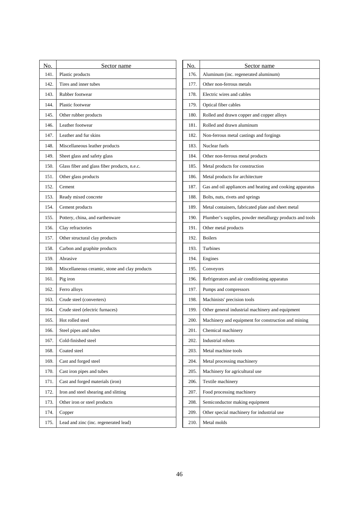| No.  | Sector name                                    | No.  | Sector name                                              |
|------|------------------------------------------------|------|----------------------------------------------------------|
| 141. | Plastic products                               | 176. | Aluminum (inc. regenerated aluminum)                     |
| 142. | Tires and inner tubes                          | 177. | Other non-ferrous metals                                 |
| 143. | Rubber footwear                                | 178. | Electric wires and cables                                |
| 144. | Plastic footwear                               | 179. | Optical fiber cables                                     |
| 145. | Other rubber products                          | 180. | Rolled and drawn copper and copper alloys                |
| 146. | Leather footwear                               | 181. | Rolled and drawn aluminum                                |
| 147. | Leather and fur skins                          | 182. | Non-ferrous metal castings and forgings                  |
| 148. | Miscellaneous leather products                 | 183. | Nuclear fuels                                            |
| 149. | Sheet glass and safety glass                   | 184. | Other non-ferrous metal products                         |
| 150. | Glass fiber and glass fiber products, n.e.c.   | 185. | Metal products for construction                          |
| 151. | Other glass products                           | 186. | Metal products for architecture                          |
| 152. | Cement                                         | 187. | Gas and oil appliances and heating and cooking apparatus |
| 153. | Ready mixed concrete                           | 188. | Bolts, nuts, rivets and springs                          |
| 154. | Cement products                                | 189. | Metal containers, fabricated plate and sheet metal       |
| 155. | Pottery, china, and earthenware                | 190. | Plumber's supplies, powder metallurgy products and tools |
| 156. | Clay refractories                              | 191. | Other metal products                                     |
| 157. | Other structural clay products                 | 192. | <b>Boilers</b>                                           |
| 158. | Carbon and graphite products                   | 193. | Turbines                                                 |
| 159. | Abrasive                                       | 194. | Engines                                                  |
| 160. | Miscellaneous ceramic, stone and clay products | 195. | Conveyors                                                |
| 161. | Pig iron                                       | 196. | Refrigerators and air conditioning apparatus             |
| 162. | Ferro alloys                                   | 197. | Pumps and compressors                                    |
| 163. | Crude steel (converters)                       | 198. | Machinists' precision tools                              |
| 164. | Crude steel (electric furnaces)                | 199. | Other general industrial machinery and equipment         |
| 165. | Hot rolled steel                               | 200. | Machinery and equipment for construction and mining      |
| 166. | Steel pipes and tubes                          | 201  | Chemical machinery                                       |
| 167. | Cold-finished steel                            | 202. | Industrial robots                                        |
| 168. | Coated steel                                   | 203. | Metal machine tools                                      |
| 169. | Cast and forged steel                          | 204. | Metal processing machinery                               |
| 170. | Cast iron pipes and tubes                      | 205. | Machinery for agricultural use                           |
| 171. | Cast and forged materials (iron)               | 206. | Textile machinery                                        |
| 172. | Iron and steel shearing and slitting           | 207. | Food processing machinery                                |
| 173. | Other iron or steel products                   | 208. | Semiconductor making equipment                           |
| 174. | Copper                                         | 209. | Other special machinery for industrial use               |
| 175. | Lead and zinc (inc. regenerated lead)          | 210. | Metal molds                                              |
|      |                                                |      |                                                          |

| No.  | Sector name                                              |
|------|----------------------------------------------------------|
| 176. | Aluminum (inc. regenerated aluminum)                     |
| 177. | Other non-ferrous metals                                 |
| 178. | Electric wires and cables                                |
| 179. | Optical fiber cables                                     |
| 180. | Rolled and drawn copper and copper alloys                |
| 181. | Rolled and drawn aluminum                                |
| 182. | Non-ferrous metal castings and forgings                  |
| 183. | Nuclear fuels                                            |
| 184. | Other non-ferrous metal products                         |
| 185. | Metal products for construction                          |
| 186. | Metal products for architecture                          |
| 187. | Gas and oil appliances and heating and cooking apparatus |
| 188. | Bolts, nuts, rivets and springs                          |
| 189. | Metal containers, fabricated plate and sheet metal       |
| 190. | Plumber's supplies, powder metallurgy products and tools |
| 191. | Other metal products                                     |
| 192. | <b>Boilers</b>                                           |
| 193. | Turbines                                                 |
| 194. | Engines                                                  |
| 195. | Conveyors                                                |
| 196. | Refrigerators and air conditioning apparatus             |
| 197. | Pumps and compressors                                    |
| 198. | Machinists' precision tools                              |
| 199. | Other general industrial machinery and equipment         |
| 200. | Machinery and equipment for construction and mining      |
| 201. | Chemical machinery                                       |
| 202. | Industrial robots                                        |
| 203. | Metal machine tools                                      |
| 204. | Metal processing machinery                               |
| 205. | Machinery for agricultural use                           |
| 206. | Textile machinery                                        |
| 207. | Food processing machinery                                |
| 208. | Semiconductor making equipment                           |
| 209. | Other special machinery for industrial use               |
| 210. | Metal molds                                              |
|      |                                                          |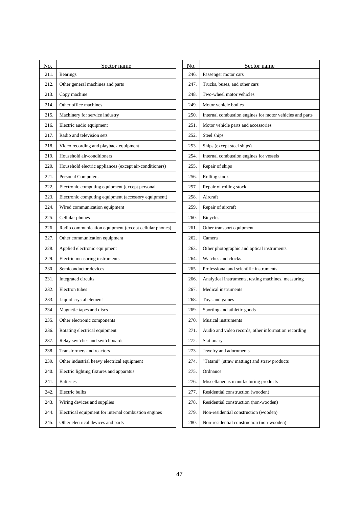| 211.<br><b>Bearings</b><br>246.<br>Passenger motor cars<br>212.<br>Other general machines and parts<br>247.<br>Trucks, buses, and other cars<br>213.<br>Copy machine<br>248.<br>Two-wheel motor vehicles<br>Other office machines<br>214.<br>249.<br>Motor vehicle bodies<br>Machinery for service industry<br>Internal combustion engines for motor vehicles and parts<br>215.<br>250.<br>Electric audio equipment<br>Motor vehicle parts and accessories<br>216.<br>251.<br>Radio and television sets<br>217.<br>252.<br>Steel ships<br>Video recording and playback equipment<br>Ships (except steel ships)<br>218.<br>253.<br>Household air-conditioners<br>Internal combustion engines for vessels<br>219.<br>254.<br>Household electric appliances (except air-conditioners)<br>Repair of ships<br>220.<br>255.<br>Rolling stock<br>221.<br><b>Personal Computers</b><br>256.<br>Electronic computing equipment (except personal<br>222.<br>257.<br>Repair of rolling stock<br>Electronic computing equipment (accessory equipment)<br>Aircraft<br>223.<br>258.<br>Repair of aircraft<br>224.<br>Wired communication equipment<br>259.<br>Cellular phones<br><b>Bicycles</b><br>225.<br>260.<br>Radio communication equipment (except cellular phones)<br>Other transport equipment<br>226.<br>261.<br>227.<br>Other communication equipment<br>262.<br>Camera<br>Applied electronic equipment<br>Other photographic and optical instruments<br>228.<br>263.<br>Electric measuring instruments<br>Watches and clocks<br>229.<br>264.<br>Semiconductor devices<br>230.<br>265.<br>Professional and scientific instruments<br>Integrated circuits<br>231.<br>266.<br>Analytical instruments, testing machines, measuring<br>Electron tubes<br>Medical instruments<br>232.<br>267.<br>Liquid crystal element<br>Toys and games<br>233.<br>268.<br>Magnetic tapes and discs<br>Sporting and athletic goods<br>234.<br>269.<br><b>Musical instruments</b><br>235.<br>Other electronic components<br>270.<br>236.<br>Rotating electrical equipment<br>271<br>Audio and video records, other information recording<br>237.<br>Relay switches and switchboards<br>272.<br>Stationary<br>238.<br>Transformers and reactors<br>Jewelry and adornments<br>273.<br>Other industrial heavy electrical equipment<br>"Tatami" (straw matting) and straw products<br>239.<br>274.<br>240.<br>Electric lighting fixtures and apparatus<br>275.<br>Ordnance<br>241.<br>Miscellaneous manufacturing products<br><b>Batteries</b><br>276.<br>Residential construction (wooden)<br>242.<br>Electric bulbs<br>277.<br>Wiring devices and supplies<br>243.<br>278.<br>Residential construction (non-wooden)<br>Electrical equipment for internal combustion engines<br>Non-residential construction (wooden)<br>244.<br>279.<br>Other electrical devices and parts<br>Non-residential construction (non-wooden)<br>245.<br>280. | No. | Sector name | No. | Sector name |
|----------------------------------------------------------------------------------------------------------------------------------------------------------------------------------------------------------------------------------------------------------------------------------------------------------------------------------------------------------------------------------------------------------------------------------------------------------------------------------------------------------------------------------------------------------------------------------------------------------------------------------------------------------------------------------------------------------------------------------------------------------------------------------------------------------------------------------------------------------------------------------------------------------------------------------------------------------------------------------------------------------------------------------------------------------------------------------------------------------------------------------------------------------------------------------------------------------------------------------------------------------------------------------------------------------------------------------------------------------------------------------------------------------------------------------------------------------------------------------------------------------------------------------------------------------------------------------------------------------------------------------------------------------------------------------------------------------------------------------------------------------------------------------------------------------------------------------------------------------------------------------------------------------------------------------------------------------------------------------------------------------------------------------------------------------------------------------------------------------------------------------------------------------------------------------------------------------------------------------------------------------------------------------------------------------------------------------------------------------------------------------------------------------------------------------------------------------------------------------------------------------------------------------------------------------------------------------------------------------------------------------------------------------------------------------------------------------------------------------------------------------------------------------------------------------------------------------------------------------------------------------------------------------------|-----|-------------|-----|-------------|
|                                                                                                                                                                                                                                                                                                                                                                                                                                                                                                                                                                                                                                                                                                                                                                                                                                                                                                                                                                                                                                                                                                                                                                                                                                                                                                                                                                                                                                                                                                                                                                                                                                                                                                                                                                                                                                                                                                                                                                                                                                                                                                                                                                                                                                                                                                                                                                                                                                                                                                                                                                                                                                                                                                                                                                                                                                                                                                                |     |             |     |             |
|                                                                                                                                                                                                                                                                                                                                                                                                                                                                                                                                                                                                                                                                                                                                                                                                                                                                                                                                                                                                                                                                                                                                                                                                                                                                                                                                                                                                                                                                                                                                                                                                                                                                                                                                                                                                                                                                                                                                                                                                                                                                                                                                                                                                                                                                                                                                                                                                                                                                                                                                                                                                                                                                                                                                                                                                                                                                                                                |     |             |     |             |
|                                                                                                                                                                                                                                                                                                                                                                                                                                                                                                                                                                                                                                                                                                                                                                                                                                                                                                                                                                                                                                                                                                                                                                                                                                                                                                                                                                                                                                                                                                                                                                                                                                                                                                                                                                                                                                                                                                                                                                                                                                                                                                                                                                                                                                                                                                                                                                                                                                                                                                                                                                                                                                                                                                                                                                                                                                                                                                                |     |             |     |             |
|                                                                                                                                                                                                                                                                                                                                                                                                                                                                                                                                                                                                                                                                                                                                                                                                                                                                                                                                                                                                                                                                                                                                                                                                                                                                                                                                                                                                                                                                                                                                                                                                                                                                                                                                                                                                                                                                                                                                                                                                                                                                                                                                                                                                                                                                                                                                                                                                                                                                                                                                                                                                                                                                                                                                                                                                                                                                                                                |     |             |     |             |
|                                                                                                                                                                                                                                                                                                                                                                                                                                                                                                                                                                                                                                                                                                                                                                                                                                                                                                                                                                                                                                                                                                                                                                                                                                                                                                                                                                                                                                                                                                                                                                                                                                                                                                                                                                                                                                                                                                                                                                                                                                                                                                                                                                                                                                                                                                                                                                                                                                                                                                                                                                                                                                                                                                                                                                                                                                                                                                                |     |             |     |             |
|                                                                                                                                                                                                                                                                                                                                                                                                                                                                                                                                                                                                                                                                                                                                                                                                                                                                                                                                                                                                                                                                                                                                                                                                                                                                                                                                                                                                                                                                                                                                                                                                                                                                                                                                                                                                                                                                                                                                                                                                                                                                                                                                                                                                                                                                                                                                                                                                                                                                                                                                                                                                                                                                                                                                                                                                                                                                                                                |     |             |     |             |
|                                                                                                                                                                                                                                                                                                                                                                                                                                                                                                                                                                                                                                                                                                                                                                                                                                                                                                                                                                                                                                                                                                                                                                                                                                                                                                                                                                                                                                                                                                                                                                                                                                                                                                                                                                                                                                                                                                                                                                                                                                                                                                                                                                                                                                                                                                                                                                                                                                                                                                                                                                                                                                                                                                                                                                                                                                                                                                                |     |             |     |             |
|                                                                                                                                                                                                                                                                                                                                                                                                                                                                                                                                                                                                                                                                                                                                                                                                                                                                                                                                                                                                                                                                                                                                                                                                                                                                                                                                                                                                                                                                                                                                                                                                                                                                                                                                                                                                                                                                                                                                                                                                                                                                                                                                                                                                                                                                                                                                                                                                                                                                                                                                                                                                                                                                                                                                                                                                                                                                                                                |     |             |     |             |
|                                                                                                                                                                                                                                                                                                                                                                                                                                                                                                                                                                                                                                                                                                                                                                                                                                                                                                                                                                                                                                                                                                                                                                                                                                                                                                                                                                                                                                                                                                                                                                                                                                                                                                                                                                                                                                                                                                                                                                                                                                                                                                                                                                                                                                                                                                                                                                                                                                                                                                                                                                                                                                                                                                                                                                                                                                                                                                                |     |             |     |             |
|                                                                                                                                                                                                                                                                                                                                                                                                                                                                                                                                                                                                                                                                                                                                                                                                                                                                                                                                                                                                                                                                                                                                                                                                                                                                                                                                                                                                                                                                                                                                                                                                                                                                                                                                                                                                                                                                                                                                                                                                                                                                                                                                                                                                                                                                                                                                                                                                                                                                                                                                                                                                                                                                                                                                                                                                                                                                                                                |     |             |     |             |
|                                                                                                                                                                                                                                                                                                                                                                                                                                                                                                                                                                                                                                                                                                                                                                                                                                                                                                                                                                                                                                                                                                                                                                                                                                                                                                                                                                                                                                                                                                                                                                                                                                                                                                                                                                                                                                                                                                                                                                                                                                                                                                                                                                                                                                                                                                                                                                                                                                                                                                                                                                                                                                                                                                                                                                                                                                                                                                                |     |             |     |             |
|                                                                                                                                                                                                                                                                                                                                                                                                                                                                                                                                                                                                                                                                                                                                                                                                                                                                                                                                                                                                                                                                                                                                                                                                                                                                                                                                                                                                                                                                                                                                                                                                                                                                                                                                                                                                                                                                                                                                                                                                                                                                                                                                                                                                                                                                                                                                                                                                                                                                                                                                                                                                                                                                                                                                                                                                                                                                                                                |     |             |     |             |
|                                                                                                                                                                                                                                                                                                                                                                                                                                                                                                                                                                                                                                                                                                                                                                                                                                                                                                                                                                                                                                                                                                                                                                                                                                                                                                                                                                                                                                                                                                                                                                                                                                                                                                                                                                                                                                                                                                                                                                                                                                                                                                                                                                                                                                                                                                                                                                                                                                                                                                                                                                                                                                                                                                                                                                                                                                                                                                                |     |             |     |             |
|                                                                                                                                                                                                                                                                                                                                                                                                                                                                                                                                                                                                                                                                                                                                                                                                                                                                                                                                                                                                                                                                                                                                                                                                                                                                                                                                                                                                                                                                                                                                                                                                                                                                                                                                                                                                                                                                                                                                                                                                                                                                                                                                                                                                                                                                                                                                                                                                                                                                                                                                                                                                                                                                                                                                                                                                                                                                                                                |     |             |     |             |
|                                                                                                                                                                                                                                                                                                                                                                                                                                                                                                                                                                                                                                                                                                                                                                                                                                                                                                                                                                                                                                                                                                                                                                                                                                                                                                                                                                                                                                                                                                                                                                                                                                                                                                                                                                                                                                                                                                                                                                                                                                                                                                                                                                                                                                                                                                                                                                                                                                                                                                                                                                                                                                                                                                                                                                                                                                                                                                                |     |             |     |             |
|                                                                                                                                                                                                                                                                                                                                                                                                                                                                                                                                                                                                                                                                                                                                                                                                                                                                                                                                                                                                                                                                                                                                                                                                                                                                                                                                                                                                                                                                                                                                                                                                                                                                                                                                                                                                                                                                                                                                                                                                                                                                                                                                                                                                                                                                                                                                                                                                                                                                                                                                                                                                                                                                                                                                                                                                                                                                                                                |     |             |     |             |
|                                                                                                                                                                                                                                                                                                                                                                                                                                                                                                                                                                                                                                                                                                                                                                                                                                                                                                                                                                                                                                                                                                                                                                                                                                                                                                                                                                                                                                                                                                                                                                                                                                                                                                                                                                                                                                                                                                                                                                                                                                                                                                                                                                                                                                                                                                                                                                                                                                                                                                                                                                                                                                                                                                                                                                                                                                                                                                                |     |             |     |             |
|                                                                                                                                                                                                                                                                                                                                                                                                                                                                                                                                                                                                                                                                                                                                                                                                                                                                                                                                                                                                                                                                                                                                                                                                                                                                                                                                                                                                                                                                                                                                                                                                                                                                                                                                                                                                                                                                                                                                                                                                                                                                                                                                                                                                                                                                                                                                                                                                                                                                                                                                                                                                                                                                                                                                                                                                                                                                                                                |     |             |     |             |
|                                                                                                                                                                                                                                                                                                                                                                                                                                                                                                                                                                                                                                                                                                                                                                                                                                                                                                                                                                                                                                                                                                                                                                                                                                                                                                                                                                                                                                                                                                                                                                                                                                                                                                                                                                                                                                                                                                                                                                                                                                                                                                                                                                                                                                                                                                                                                                                                                                                                                                                                                                                                                                                                                                                                                                                                                                                                                                                |     |             |     |             |
|                                                                                                                                                                                                                                                                                                                                                                                                                                                                                                                                                                                                                                                                                                                                                                                                                                                                                                                                                                                                                                                                                                                                                                                                                                                                                                                                                                                                                                                                                                                                                                                                                                                                                                                                                                                                                                                                                                                                                                                                                                                                                                                                                                                                                                                                                                                                                                                                                                                                                                                                                                                                                                                                                                                                                                                                                                                                                                                |     |             |     |             |
|                                                                                                                                                                                                                                                                                                                                                                                                                                                                                                                                                                                                                                                                                                                                                                                                                                                                                                                                                                                                                                                                                                                                                                                                                                                                                                                                                                                                                                                                                                                                                                                                                                                                                                                                                                                                                                                                                                                                                                                                                                                                                                                                                                                                                                                                                                                                                                                                                                                                                                                                                                                                                                                                                                                                                                                                                                                                                                                |     |             |     |             |
|                                                                                                                                                                                                                                                                                                                                                                                                                                                                                                                                                                                                                                                                                                                                                                                                                                                                                                                                                                                                                                                                                                                                                                                                                                                                                                                                                                                                                                                                                                                                                                                                                                                                                                                                                                                                                                                                                                                                                                                                                                                                                                                                                                                                                                                                                                                                                                                                                                                                                                                                                                                                                                                                                                                                                                                                                                                                                                                |     |             |     |             |
|                                                                                                                                                                                                                                                                                                                                                                                                                                                                                                                                                                                                                                                                                                                                                                                                                                                                                                                                                                                                                                                                                                                                                                                                                                                                                                                                                                                                                                                                                                                                                                                                                                                                                                                                                                                                                                                                                                                                                                                                                                                                                                                                                                                                                                                                                                                                                                                                                                                                                                                                                                                                                                                                                                                                                                                                                                                                                                                |     |             |     |             |
|                                                                                                                                                                                                                                                                                                                                                                                                                                                                                                                                                                                                                                                                                                                                                                                                                                                                                                                                                                                                                                                                                                                                                                                                                                                                                                                                                                                                                                                                                                                                                                                                                                                                                                                                                                                                                                                                                                                                                                                                                                                                                                                                                                                                                                                                                                                                                                                                                                                                                                                                                                                                                                                                                                                                                                                                                                                                                                                |     |             |     |             |
|                                                                                                                                                                                                                                                                                                                                                                                                                                                                                                                                                                                                                                                                                                                                                                                                                                                                                                                                                                                                                                                                                                                                                                                                                                                                                                                                                                                                                                                                                                                                                                                                                                                                                                                                                                                                                                                                                                                                                                                                                                                                                                                                                                                                                                                                                                                                                                                                                                                                                                                                                                                                                                                                                                                                                                                                                                                                                                                |     |             |     |             |
|                                                                                                                                                                                                                                                                                                                                                                                                                                                                                                                                                                                                                                                                                                                                                                                                                                                                                                                                                                                                                                                                                                                                                                                                                                                                                                                                                                                                                                                                                                                                                                                                                                                                                                                                                                                                                                                                                                                                                                                                                                                                                                                                                                                                                                                                                                                                                                                                                                                                                                                                                                                                                                                                                                                                                                                                                                                                                                                |     |             |     |             |
|                                                                                                                                                                                                                                                                                                                                                                                                                                                                                                                                                                                                                                                                                                                                                                                                                                                                                                                                                                                                                                                                                                                                                                                                                                                                                                                                                                                                                                                                                                                                                                                                                                                                                                                                                                                                                                                                                                                                                                                                                                                                                                                                                                                                                                                                                                                                                                                                                                                                                                                                                                                                                                                                                                                                                                                                                                                                                                                |     |             |     |             |
|                                                                                                                                                                                                                                                                                                                                                                                                                                                                                                                                                                                                                                                                                                                                                                                                                                                                                                                                                                                                                                                                                                                                                                                                                                                                                                                                                                                                                                                                                                                                                                                                                                                                                                                                                                                                                                                                                                                                                                                                                                                                                                                                                                                                                                                                                                                                                                                                                                                                                                                                                                                                                                                                                                                                                                                                                                                                                                                |     |             |     |             |
|                                                                                                                                                                                                                                                                                                                                                                                                                                                                                                                                                                                                                                                                                                                                                                                                                                                                                                                                                                                                                                                                                                                                                                                                                                                                                                                                                                                                                                                                                                                                                                                                                                                                                                                                                                                                                                                                                                                                                                                                                                                                                                                                                                                                                                                                                                                                                                                                                                                                                                                                                                                                                                                                                                                                                                                                                                                                                                                |     |             |     |             |
|                                                                                                                                                                                                                                                                                                                                                                                                                                                                                                                                                                                                                                                                                                                                                                                                                                                                                                                                                                                                                                                                                                                                                                                                                                                                                                                                                                                                                                                                                                                                                                                                                                                                                                                                                                                                                                                                                                                                                                                                                                                                                                                                                                                                                                                                                                                                                                                                                                                                                                                                                                                                                                                                                                                                                                                                                                                                                                                |     |             |     |             |
|                                                                                                                                                                                                                                                                                                                                                                                                                                                                                                                                                                                                                                                                                                                                                                                                                                                                                                                                                                                                                                                                                                                                                                                                                                                                                                                                                                                                                                                                                                                                                                                                                                                                                                                                                                                                                                                                                                                                                                                                                                                                                                                                                                                                                                                                                                                                                                                                                                                                                                                                                                                                                                                                                                                                                                                                                                                                                                                |     |             |     |             |
|                                                                                                                                                                                                                                                                                                                                                                                                                                                                                                                                                                                                                                                                                                                                                                                                                                                                                                                                                                                                                                                                                                                                                                                                                                                                                                                                                                                                                                                                                                                                                                                                                                                                                                                                                                                                                                                                                                                                                                                                                                                                                                                                                                                                                                                                                                                                                                                                                                                                                                                                                                                                                                                                                                                                                                                                                                                                                                                |     |             |     |             |
|                                                                                                                                                                                                                                                                                                                                                                                                                                                                                                                                                                                                                                                                                                                                                                                                                                                                                                                                                                                                                                                                                                                                                                                                                                                                                                                                                                                                                                                                                                                                                                                                                                                                                                                                                                                                                                                                                                                                                                                                                                                                                                                                                                                                                                                                                                                                                                                                                                                                                                                                                                                                                                                                                                                                                                                                                                                                                                                |     |             |     |             |
|                                                                                                                                                                                                                                                                                                                                                                                                                                                                                                                                                                                                                                                                                                                                                                                                                                                                                                                                                                                                                                                                                                                                                                                                                                                                                                                                                                                                                                                                                                                                                                                                                                                                                                                                                                                                                                                                                                                                                                                                                                                                                                                                                                                                                                                                                                                                                                                                                                                                                                                                                                                                                                                                                                                                                                                                                                                                                                                |     |             |     |             |
|                                                                                                                                                                                                                                                                                                                                                                                                                                                                                                                                                                                                                                                                                                                                                                                                                                                                                                                                                                                                                                                                                                                                                                                                                                                                                                                                                                                                                                                                                                                                                                                                                                                                                                                                                                                                                                                                                                                                                                                                                                                                                                                                                                                                                                                                                                                                                                                                                                                                                                                                                                                                                                                                                                                                                                                                                                                                                                                |     |             |     |             |

| No.  | Sector name                                              |
|------|----------------------------------------------------------|
| 246. | Passenger motor cars                                     |
| 247. | Trucks, buses, and other cars                            |
| 248. | Two-wheel motor vehicles                                 |
| 249. | Motor vehicle bodies                                     |
| 250. | Internal combustion engines for motor vehicles and parts |
| 251. | Motor vehicle parts and accessories                      |
| 252. | Steel ships                                              |
| 253. | Ships (except steel ships)                               |
| 254. | Internal combustion engines for vessels                  |
| 255. | Repair of ships                                          |
| 256. | Rolling stock                                            |
| 257. | Repair of rolling stock                                  |
| 258. | Aircraft                                                 |
| 259. | Repair of aircraft                                       |
| 260. | <b>Bicycles</b>                                          |
| 261. | Other transport equipment                                |
| 262. | Camera                                                   |
| 263. | Other photographic and optical instruments               |
| 264. | Watches and clocks                                       |
| 265. | Professional and scientific instruments                  |
| 266. | Analytical instruments, testing machines, measuring      |
| 267. | <b>Medical instruments</b>                               |
| 268. | Toys and games                                           |
| 269. | Sporting and athletic goods                              |
| 270. | Musical instruments                                      |
| 271. | Audio and video records, other information recording     |
| 272. | Stationary                                               |
| 273. | Jewelry and adornments                                   |
| 274. | "Tatami" (straw matting) and straw products              |
| 275. | Ordnance                                                 |
| 276. | Miscellaneous manufacturing products                     |
| 277. | Residential construction (wooden)                        |
| 278. | Residential construction (non-wooden)                    |
| 279. | Non-residential construction (wooden)                    |
| 280. | Non-residential construction (non-wooden)                |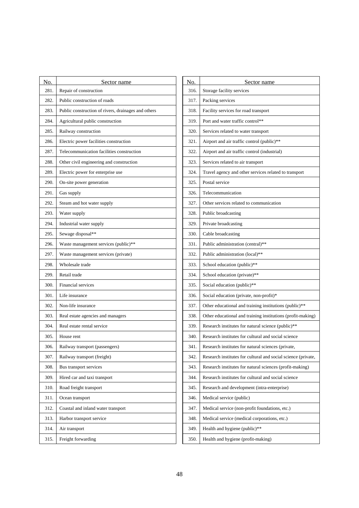| No.  | Sector name                                         | No.  | Sector name                                                   |  |
|------|-----------------------------------------------------|------|---------------------------------------------------------------|--|
| 281. | Repair of construction                              | 316. | Storage facility services                                     |  |
| 282. | Public construction of roads                        | 317. | Packing services                                              |  |
| 283. | Public construction of rivers, drainages and others | 318. | Facility services for road transport                          |  |
| 284. | Agricultural public construction                    | 319. | Port and water traffic control**                              |  |
| 285. | Railway construction                                | 320. | Services related to water transport                           |  |
| 286. | Electric power facilities construction              | 321. | Airport and air traffic control (public)**                    |  |
| 287. | Telecommunication facilities construction           | 322. | Airport and air traffic control (industrial)                  |  |
| 288. | Other civil engineering and construction            | 323. | Services related to air transport                             |  |
| 289. | Electric power for enterprise use                   | 324. | Travel agency and other services related to transport         |  |
| 290. | On-site power generation                            | 325. | Postal service                                                |  |
| 291. | Gas supply                                          | 326. | Telecommunication                                             |  |
| 292. | Steam and hot water supply                          | 327. | Other services related to communication                       |  |
| 293. | Water supply                                        | 328. | Public broadcasting                                           |  |
| 294. | Industrial water supply                             | 329. | Private broadcasting                                          |  |
| 295. | Sewage disposal**                                   | 330. | Cable broadcasting                                            |  |
| 296. | Waste management services (public)**                | 331. | Public administration (central)**                             |  |
| 297. | Waste management services (private)                 | 332. | Public administration (local)**                               |  |
| 298. | Wholesale trade                                     | 333. | School education (public)**                                   |  |
| 299. | Retail trade                                        | 334. | School education (private)**                                  |  |
| 300. | Financial services                                  | 335. | Social education (public)**                                   |  |
| 301. | Life insurance                                      | 336. | Social education (private, non-profit)*                       |  |
| 302. | Non-life insurance                                  | 337. | Other educational and training institutions (public)**        |  |
| 303. | Real estate agencies and managers                   | 338. | Other educational and training institutions (profit-making)   |  |
| 304. | Real estate rental service                          | 339. | Research institutes for natural science (public)**            |  |
| 305. | House rent                                          | 340. | Research institutes for cultural and social science           |  |
| 306. | Railway transport (passengers)                      | 341. | Research institutes for natural sciences (private,            |  |
| 307. | Railway transport (freight)                         | 342. | Research institutes for cultural and social science (private, |  |
| 308. | Bus transport services                              | 343. | Research institutes for natural sciences (profit-making)      |  |
| 309. | Hired car and taxi transport                        | 344. | Research institutes for cultural and social science           |  |
| 310. | Road freight transport                              | 345. | Research and development (intra-enterprise)                   |  |
| 311. | Ocean transport                                     | 346. | Medical service (public)                                      |  |
| 312. | Coastal and inland water transport                  | 347. | Medical service (non-profit foundations, etc.)                |  |
| 313. | Harbor transport service                            | 348. | Medical service (medical corporations, etc.)                  |  |
| 314. | Air transport                                       | 349. | Health and hygiene (public)**                                 |  |
| 315. | Freight forwarding                                  | 350. | Health and hygiene (profit-making)                            |  |
|      |                                                     |      |                                                               |  |

| No.  | Sector name                                                   |
|------|---------------------------------------------------------------|
| 316. | Storage facility services                                     |
| 317. | Packing services                                              |
| 318. | Facility services for road transport                          |
| 319. | Port and water traffic control**                              |
| 320. | Services related to water transport                           |
| 321. | Airport and air traffic control (public)**                    |
| 322. | Airport and air traffic control (industrial)                  |
| 323. | Services related to air transport                             |
| 324. | Travel agency and other services related to transport         |
| 325. | Postal service                                                |
| 326. | Telecommunication                                             |
| 327. | Other services related to communication                       |
| 328. | Public broadcasting                                           |
| 329. | Private broadcasting                                          |
| 330. | Cable broadcasting                                            |
| 331. | Public administration (central)**                             |
| 332. | Public administration (local)**                               |
| 333. | School education (public)**                                   |
| 334. | School education (private)**                                  |
| 335. | Social education (public)**                                   |
| 336. | Social education (private, non-profit)*                       |
| 337. | Other educational and training institutions (public)**        |
| 338. | Other educational and training institutions (profit-making)   |
| 339. | Research institutes for natural science (public)**            |
| 340. | Research institutes for cultural and social science           |
| 341. | Research institutes for natural sciences (private,            |
| 342. | Research institutes for cultural and social science (private, |
| 343. | Research institutes for natural sciences (profit-making)      |
| 344. | Research institutes for cultural and social science           |
| 345. | Research and development (intra-enterprise)                   |
| 346. | Medical service (public)                                      |
| 347. | Medical service (non-profit foundations, etc.)                |
| 348. | Medical service (medical corporations, etc.)                  |
| 349. | Health and hygiene (public)**                                 |
| 350. | Health and hygiene (profit-making)                            |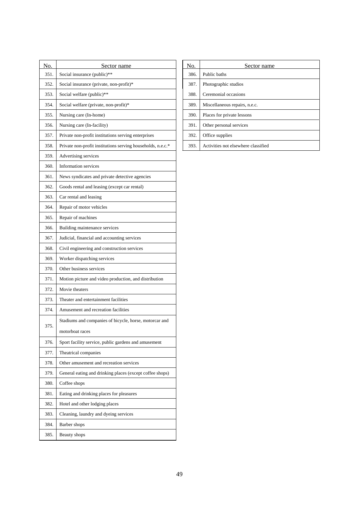| No.  | Sector name                                                 | No.  | Sector name                         |
|------|-------------------------------------------------------------|------|-------------------------------------|
| 351. | Social insurance (public)**                                 | 386. | Public baths                        |
| 352. | Social insurance (private, non-profit)*                     | 387. | Photographic studios                |
| 353. | Social welfare (public)**                                   | 388. | Ceremonial occasions                |
| 354. | Social welfare (private, non-profit)*                       | 389. | Miscellaneous repairs, n.e.c.       |
| 355. | Nursing care (In-home)                                      | 390. | Places for private lessons          |
| 356. | Nursing care (In-facility)                                  | 391. | Other personal services             |
| 357. | Private non-profit institutions serving enterprises         | 392. | Office supplies                     |
| 358. | Private non-profit institutions serving households, n.e.c.* | 393. | Activities not elsewhere classified |
| 359. | Advertising services                                        |      |                                     |
| 360. | Information services                                        |      |                                     |
| 361. | News syndicates and private detective agencies              |      |                                     |
| 362. | Goods rental and leasing (except car rental)                |      |                                     |
| 363. | Car rental and leasing                                      |      |                                     |
| 364. | Repair of motor vehicles                                    |      |                                     |
| 365. | Repair of machines                                          |      |                                     |
| 366. | Building maintenance services                               |      |                                     |
| 367. | Judicial, financial and accounting services                 |      |                                     |
| 368. | Civil engineering and construction services                 |      |                                     |
| 369. | Worker dispatching services                                 |      |                                     |
| 370. | Other business services                                     |      |                                     |
| 371. | Motion picture and video production, and distribution       |      |                                     |
| 372. | Movie theaters                                              |      |                                     |
| 373. | Theater and entertainment facilities                        |      |                                     |
| 374. | Amusement and recreation facilities                         |      |                                     |
|      | Stadiums and companies of bicycle, horse, motorcar and      |      |                                     |
| 375. | motorboat races                                             |      |                                     |
| 376. | Sport facility service, public gardens and amusement        |      |                                     |
| 377. | Theatrical companies                                        |      |                                     |
| 378. | Other amusement and recreation services                     |      |                                     |
| 379. | General eating and drinking places (except coffee shops)    |      |                                     |
| 380. | Coffee shops                                                |      |                                     |
| 381. | Eating and drinking places for pleasures                    |      |                                     |
| 382. | Hotel and other lodging places                              |      |                                     |
| 383. | Cleaning, laundry and dyeing services                       |      |                                     |
| 384. | Barber shops                                                |      |                                     |
| 385. | Beauty shops                                                |      |                                     |

| No.  | Sector name                         |
|------|-------------------------------------|
| 386. | Public baths                        |
| 387. | Photographic studios                |
| 388. | Ceremonial occasions                |
| 389. | Miscellaneous repairs, n.e.c.       |
| 390. | Places for private lessons          |
| 391. | Other personal services             |
| 392. | Office supplies                     |
| 393. | Activities not elsewhere classified |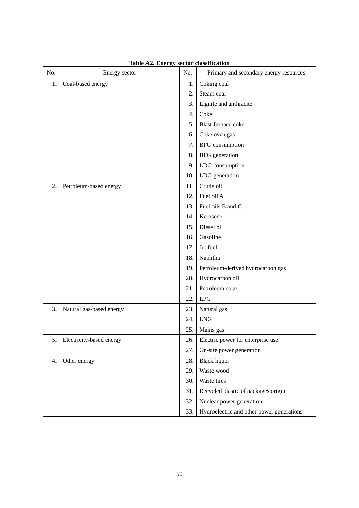| No. | Energy sector            | No. | Primary and secondary energy resources    |
|-----|--------------------------|-----|-------------------------------------------|
| 1.  | Coal-based energy        | 1.  | Coking coal                               |
|     |                          | 2.  | Steam coal                                |
|     |                          | 3.  | Lignite and anthracite                    |
|     |                          | 4.  | Coke                                      |
|     |                          | 5.  | Blast furnace coke                        |
|     |                          | 6.  | Coke oven gas                             |
|     |                          | 7.  | BFG consumption                           |
|     |                          | 8.  | <b>BFG</b> generation                     |
|     |                          | 9.  | LDG consumption                           |
|     |                          | 10. | LDG generation                            |
| 2.  | Petroleum-based energy   | 11. | Crude oil                                 |
|     |                          | 12. | Fuel oil A                                |
|     |                          | 13. | Fuel oils B and C                         |
|     |                          | 14. | Kerosene                                  |
|     |                          | 15. | Diesel oil                                |
|     |                          | 16. | Gasoline                                  |
|     |                          | 17. | Jet fuel                                  |
|     |                          | 18. | Naphtha                                   |
|     |                          | 19. | Petroleum-derived hydrocarbon gas         |
|     |                          | 20. | Hydrocarbon oil                           |
|     |                          | 21. | Petroleum coke                            |
|     |                          | 22. | <b>LPG</b>                                |
| 3.  | Natural gas-based energy | 23. | Natural gas                               |
|     |                          | 24. | ${\rm LNG}$                               |
|     |                          | 25. | Mains gas                                 |
| 5.  | Electricity-based energy | 26. | Electric power for enterprise use         |
|     |                          | 27. | On-site power generation                  |
| 4.  | Other energy             | 28. | <b>Black liquor</b>                       |
|     |                          | 29. | Waste wood                                |
|     |                          | 30. | Waste tires                               |
|     |                          | 31. | Recycled plastic of packages origin       |
|     |                          | 32. | Nuclear power generation                  |
|     |                          | 33. | Hydroelectric and other power generations |

**Table A2. Energy sector classification**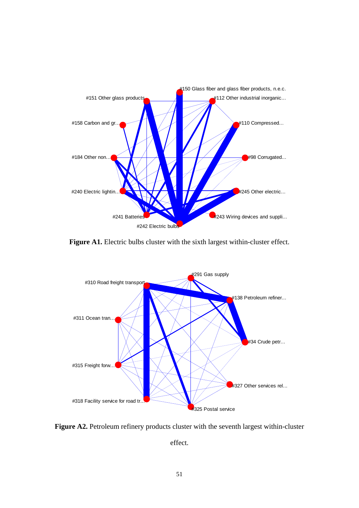

Figure A1. Electric bulbs cluster with the sixth largest within-cluster effect.



Figure A2. Petroleum refinery products cluster with the seventh largest within-cluster

effect.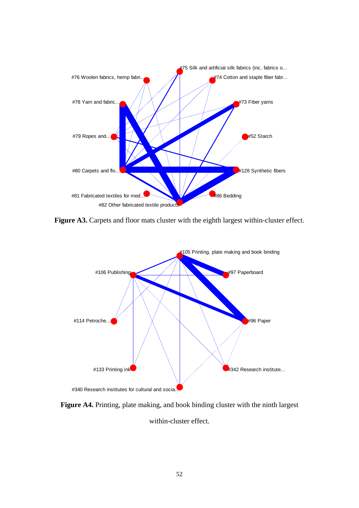

Figure A3. Carpets and floor mats cluster with the eighth largest within-cluster effect.



**Figure A4.** Printing, plate making, and book binding cluster with the ninth largest

within-cluster effect.